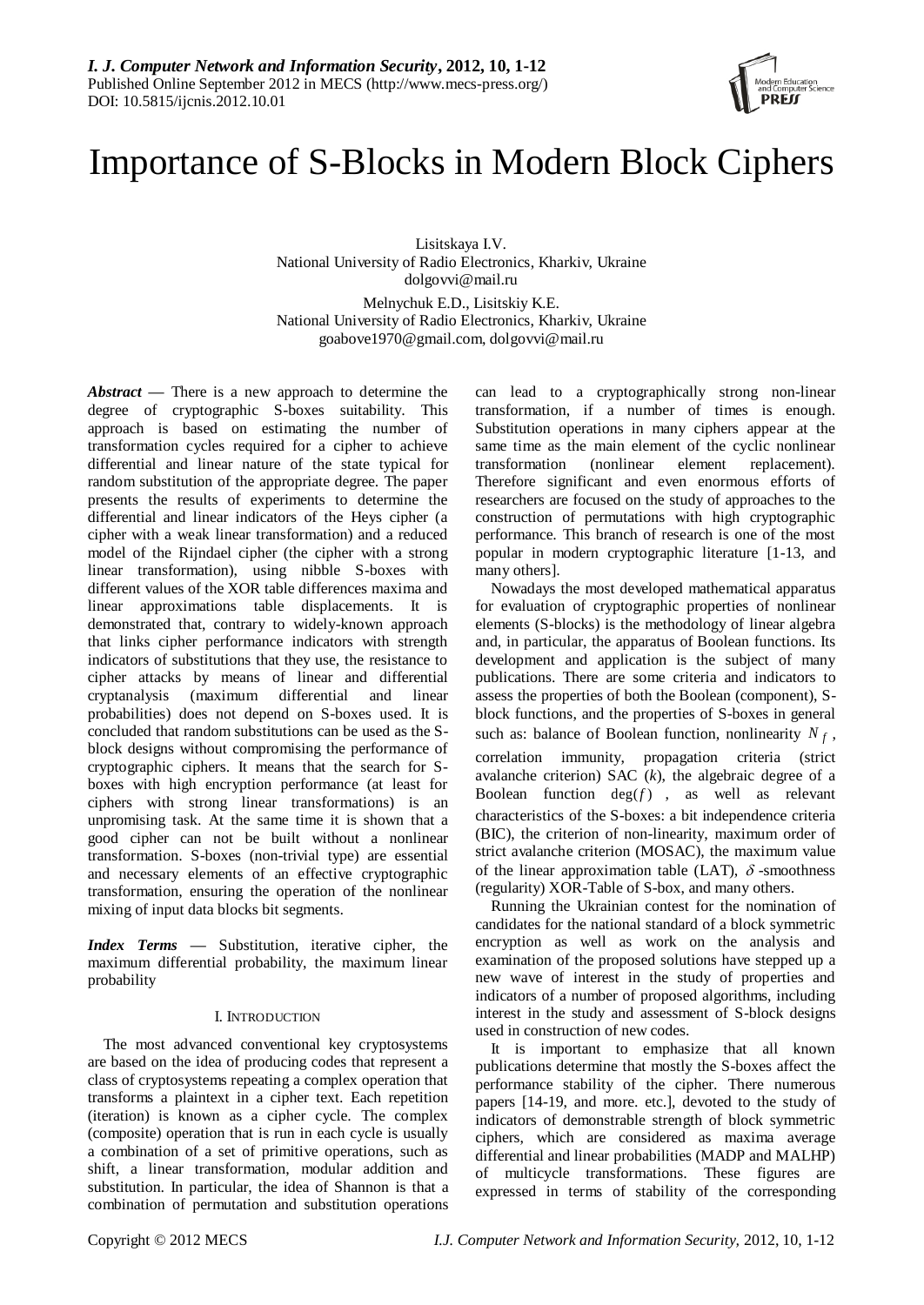

# Importance of S-Blocks in Modern Block Ciphers

Lisitskaya I.V. National University of Radio Electronics, Kharkiv, Ukraine dolgovvi@mail.ru Melnychuk E.D., Lisitskiy K.E.

National University of Radio Electronics, Kharkiv, Ukraine goabove1970@gmail.com, dolgovvi@mail.ru

*Abstract* **—** There is a new approach to determine the degree of cryptographic S-boxes suitability. This approach is based on estimating the number of transformation cycles required for a cipher to achieve differential and linear nature of the state typical for random substitution of the appropriate degree. The paper presents the results of experiments to determine the differential and linear indicators of the Heys cipher (a cipher with a weak linear transformation) and a reduced model of the Rijndael cipher (the cipher with a strong linear transformation), using nibble S-boxes with different values of the XOR table differences maxima and linear approximations table displacements. It is demonstrated that, contrary to widely-known approach that links cipher performance indicators with strength indicators of substitutions that they use, the resistance to cipher attacks by means of linear and differential cryptanalysis (maximum differential and linear probabilities) does not depend on S-boxes used. It is concluded that random substitutions can be used as the Sblock designs without compromising the performance of cryptographic ciphers. It means that the search for Sboxes with high encryption performance (at least for ciphers with strong linear transformations) is an unpromising task. At the same time it is shown that a good cipher can not be built without a nonlinear transformation. S-boxes (non-trivial type) are essential and necessary elements of an effective cryptographic transformation, ensuring the operation of the nonlinear mixing of input data blocks bit segments.

*Index Terms* **—** Substitution, iterative cipher, the maximum differential probability, the maximum linear probability

### I. INTRODUCTION

The most advanced conventional key cryptosystems are based on the idea of producing codes that represent a class of cryptosystems repeating a complex operation that transforms a plaintext in a cipher text. Each repetition (iteration) is known as a cipher cycle. The complex (composite) operation that is run in each cycle is usually a combination of a set of primitive operations, such as shift, a linear transformation, modular addition and substitution. In particular, the idea of Shannon is that a combination of permutation and substitution operations can lead to a cryptographically strong non-linear transformation, if a number of times is enough. Substitution operations in many ciphers appear at the same time as the main element of the cyclic nonlinear transformation (nonlinear element replacement). Therefore significant and even enormous efforts of researchers are focused on the study of approaches to the construction of permutations with high cryptographic performance. This branch of research is one of the most popular in modern cryptographic literature [1-13, and many others].

Nowadays the most developed mathematical apparatus for evaluation of cryptographic properties of nonlinear elements (S-blocks) is the methodology of linear algebra and, in particular, the apparatus of Boolean functions. Its development and application is the subject of many publications. There are some criteria and indicators to assess the properties of both the Boolean (component), Sblock functions, and the properties of S-boxes in general such as: [balance](http://www.multitran.ru/c/m.exe?t=1779872_1_2) of Boolean function, nonlinearity  $N_f$ , correlation immunity, propagation criteria (strict avalanche criterion) SAC (*k*), the algebraic degree of a Boolean function  $deg(f)$ , as well as relevant characteristics of the S-boxes: a bit independence criteria (BIC), the criterion of non-linearity, maximum order of strict avalanche criterion (MOSAC), the maximum value of the linear approximation table (LAT),  $\delta$ -smoothness (regularity) XOR-Table of S-box, and many others.

Running the Ukrainian contest for the nomination of candidates for the national standard of a block symmetric encryption as well as work on the analysis and examination of the proposed solutions have stepped up a new wave of interest in the study of properties and indicators of a number of proposed algorithms, including interest in the study and assessment of S-block designs used in construction of new codes.

It is important to emphasize that all known publications determine that mostly the S-boxes affect the performance stability of the cipher. There numerous papers [14-19, and more. etc.], devoted to the study of indicators of demonstrable strength of block symmetric ciphers, which are considered as maxima average differential and linear probabilities (MADP and MALHP) of multicycle transformations. These figures are expressed in terms of stability of the corresponding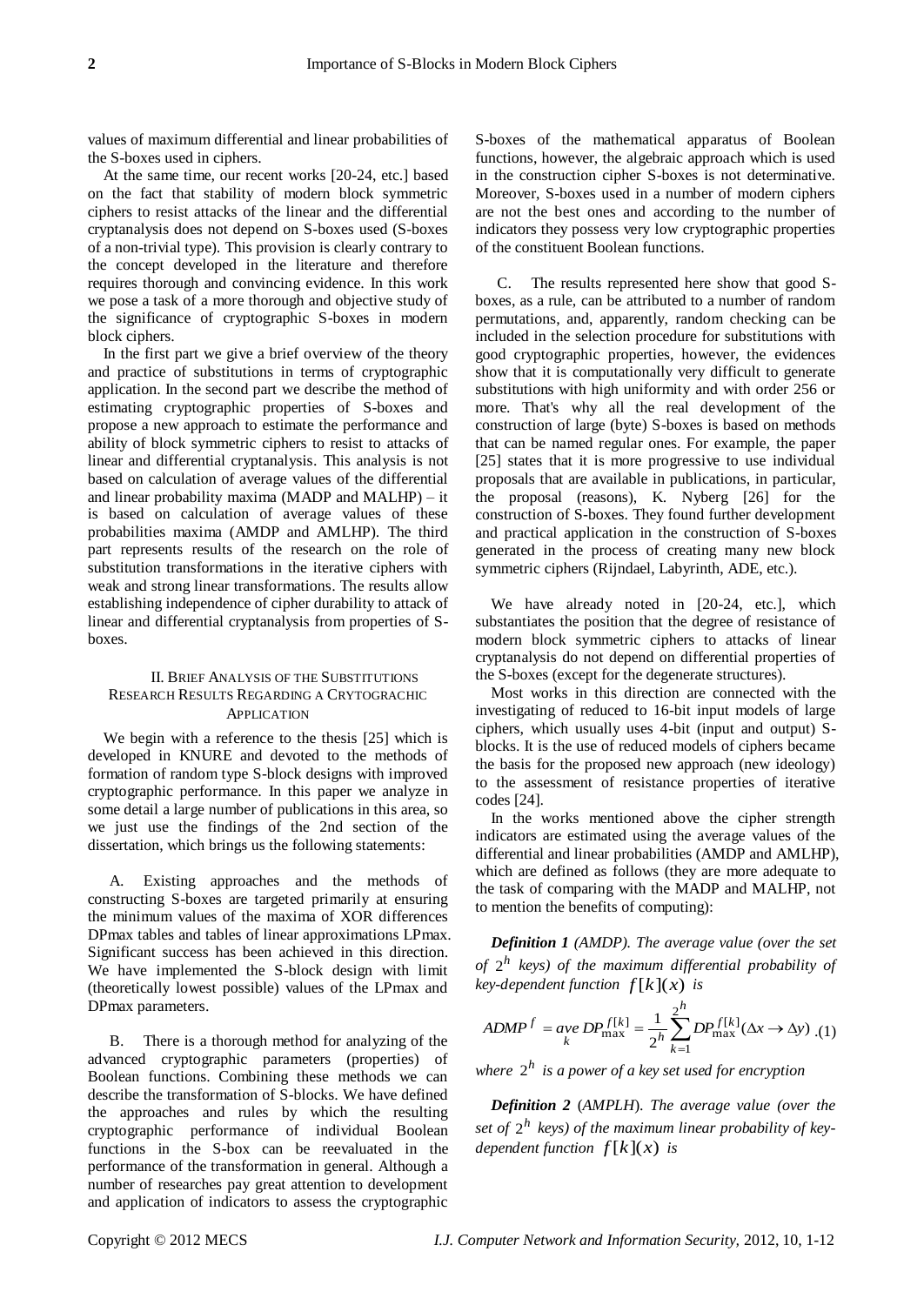values of maximum differential and linear probabilities of the S-boxes used in ciphers.

At the same time, our recent works [20-24, etc.] based on the fact that stability of modern block symmetric ciphers to resist attacks of the linear and the differential cryptanalysis does not depend on S-boxes used (S-boxes of a non-trivial type). This provision is clearly contrary to the concept developed in the literature and therefore requires thorough and convincing evidence. In this work we pose a task of a more thorough and objective study of the significance of cryptographic S-boxes in modern block ciphers.

In the first part we give a brief overview of the theory and practice of substitutions in terms of cryptographic application. In the second part we describe the method of estimating cryptographic properties of S-boxes and propose a new approach to estimate the performance and ability of block symmetric ciphers to resist to attacks of linear and differential cryptanalysis. This analysis is not based on calculation of average values of the differential and linear probability maxima (MADP and MALHP) – it is based on calculation of average values of these probabilities maxima (AMDP and AMLHP). The third part represents results of the research on the role of substitution transformations in the iterative ciphers with weak and strong linear transformations. The results allow establishing independence of cipher durability to attack of linear and differential cryptanalysis from properties of Sboxes.

### II. BRIEF ANALYSIS OF THE SUBSTITUTIONS RESEARCH RESULTS REGARDING A CRYTOGRACHIC APPLICATION

We begin with a reference to the thesis [25] which is developed in KNURE and devoted to the methods of formation of random type S-block designs with improved cryptographic performance. In this paper we analyze in some detail a large number of publications in this area, so we just use the findings of the 2nd section of the dissertation, which brings us the following statements:

A. Existing approaches and the methods of constructing S-boxes are targeted primarily at ensuring the minimum values of the maxima of XOR differences DPmax tables and tables of linear approximations LPmax. Significant success has been achieved in this direction. We have implemented the S-block design with limit (theoretically lowest possible) values of the LPmax and DPmax parameters.

B. There is a thorough method for analyzing of the advanced cryptographic parameters (properties) of Boolean functions. Combining these methods we can describe the transformation of S-blocks. We have defined the approaches and rules by which the resulting cryptographic performance of individual Boolean functions in the S-box can be reevaluated in the performance of the transformation in general. Although a number of researches pay great attention to development and application of indicators to assess the cryptographic

S-boxes of the mathematical apparatus of Boolean functions, however, the algebraic approach which is used in the construction cipher S-boxes is not determinative. Moreover, S-boxes used in a number of modern ciphers are not the best ones and according to the number of indicators they possess very low cryptographic properties of the constituent Boolean functions.

C. The results represented here show that good Sboxes, as a rule, can be attributed to a number of random permutations, and, apparently, random checking can be included in the selection procedure for substitutions with good cryptographic properties, however, the evidences show that it is computationally very difficult to generate substitutions with high uniformity and with order 256 or more. That's why all the real development of the construction of large (byte) S-boxes is based on methods that can be named regular ones. For example, the paper [25] states that it is more progressive to use individual proposals that are available in publications, in particular, the proposal (reasons), K. Nyberg [26] for the construction of S-boxes. They found further development and practical application in the construction of S-boxes generated in the process of creating many new block symmetric ciphers (Rijndael, Labyrinth, ADE, etc.).

We have already noted in [20-24, etc.], which substantiates the position that the degree of resistance of modern block symmetric ciphers to attacks of linear cryptanalysis do not depend on differential properties of the S-boxes (except for the degenerate structures).

Most works in this direction are connected with the investigating of reduced to 16-bit input models of large ciphers, which usually uses 4-bit (input and output) Sblocks. It is the use of reduced models of ciphers became the basis for the proposed new approach (new ideology) to the assessment of resistance properties of iterative codes [24].

In the works mentioned above the cipher strength indicators are estimated using the average values of the differential and linear probabilities (AMDP and AMLHP), which are defined as follows (they are more adequate to the task of comparing with the MADP and MALHP, not to mention the benefits of computing):

*Definition 1 (AMDP). The average value (over the set*  of  $2^h$  keys) of the maximum differential probability of  $key-dependent function f[k](x)$  *is* 

$$
ADMP^{f} = ave \, DP_{\max}^{f[k]} = \frac{1}{2^h} \sum_{k=1}^{2^h} DP_{\max}^{f[k]}(\Delta x \to \Delta y) \tag{1}
$$

where  $2^h$  is a power of a key set used for encryption

*Definition 2* (*AMPLH*). *The average value (over the*  set of  $2^h$  keys) of the maximum linear probability of key*dependent function*  $f[k](x)$  *is*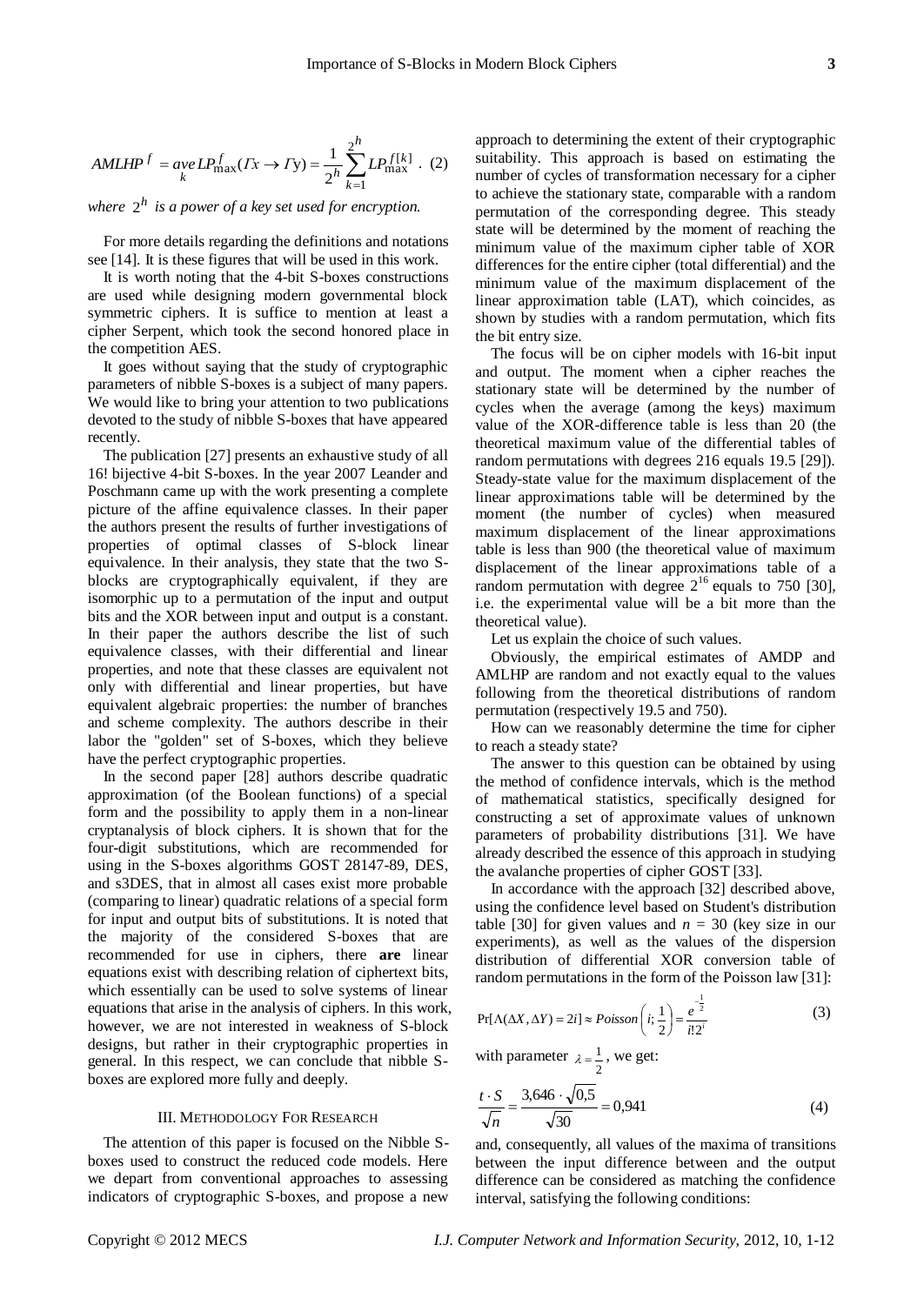$$
AMLHP^{f} = aveL P^{f}_{\text{max}}(Tx \to Ty) = \frac{1}{2^{h}} \sum_{k=1}^{2^{h}} LP^{f[k]}_{\text{max}}.
$$
 (2)

*where h* 2 *is a power of a key set used for encryption.*

For more details regarding the definitions and notations see [14]. It is these figures that will be used in this work.

It is worth noting that the 4-bit S-boxes constructions are used while designing modern governmental block symmetric ciphers. It is suffice to mention at least a cipher Serpent, which took the second honored place in the competition AES.

It goes without saying that the study of cryptographic parameters of nibble S-boxes is a subject of many papers. We would like to bring your attention to two publications devoted to the study of nibble S-boxes that have appeared recently.

AMLBP<sup>1</sup>  $\alpha_0 \epsilon L \frac{d}{dt} L \frac{d}{dt} L \frac{d}{dt}$ . Computer is a constraint is become the security. The appear of the composite composite depend is the security of  $2$  i.j.  $\alpha_0 \epsilon$  or  $\alpha_0 \epsilon$  and  $\alpha_0 \epsilon$  and  $\alpha_0 \epsilon$  and The publication [27] presents an exhaustive study of all 16! bijective 4-bit S-boxes. In the year 2007 Leander and Poschmann came up with the work presenting a complete picture of the affine equivalence classes. In their paper the authors present the results of further investigations of properties of optimal classes of S-block linear equivalence. In their analysis, they state that the two Sblocks are cryptographically equivalent, if they are isomorphic up to a permutation of the input and output bits and the XOR between input and output is a constant. In their paper the authors describe the list of such equivalence classes, with their differential and linear properties, and note that these classes are equivalent not only with differential and linear properties, but have equivalent algebraic properties: the number of branches and scheme complexity. The authors describe in their labor the "golden" set of S-boxes, which they believe have the perfect cryptographic properties.

In the second paper [28] authors describe quadratic approximation (of the Boolean functions) of a special form and the possibility to apply them in a non-linear cryptanalysis of block ciphers. It is shown that for the four-digit substitutions, which are recommended for using in the S-boxes algorithms GOST 28147-89, DES, and s3DES, that in almost all cases exist more probable (comparing to linear) quadratic relations of a special form for input and output bits of substitutions. It is noted that the majority of the considered S-boxes that are recommended for use in ciphers, there **are** linear equations exist with describing relation of ciphertext bits, which essentially can be used to solve systems of linear equations that arise in the analysis of ciphers. In this work, however, we are not interested in weakness of S-block designs, but rather in their cryptographic properties in general. In this respect, we can conclude that nibble Sboxes are explored more fully and deeply.

### III. METHODOLOGY FOR RESEARCH

The attention of this paper is focused on the Nibble Sboxes used to construct the reduced code models. Here we depart from conventional approaches to assessing indicators of cryptographic S-boxes, and propose a new

approach to determining the extent of their cryptographic suitability. This approach is based on estimating the number of cycles of transformation necessary for a cipher to achieve the stationary state, comparable with a random permutation of the corresponding degree. This steady state will be determined by the moment of reaching the minimum value of the maximum cipher table of XOR differences for the entire cipher (total differential) and the minimum value of the maximum displacement of the linear approximation table (LAT), which coincides, as shown by studies with a random permutation, which fits the bit entry size.

The focus will be on cipher models with 16-bit input and output. The moment when a cipher reaches the stationary state will be determined by the number of cycles when the average (among the keys) maximum value of the XOR-difference table is less than 20 (the theoretical maximum value of the differential tables of random permutations with degrees 216 equals 19.5 [29]). Steady-state value for the maximum displacement of the linear approximations table will be determined by the moment (the number of cycles) when measured maximum displacement of the linear approximations table is less than 900 (the theoretical value of maximum displacement of the linear approximations table of a random permutation with degree  $2^{16}$  equals to 750 [30], i.e. the experimental value will be a bit more than the theoretical value).

Let us explain the choice of such values.

Obviously, the empirical estimates of AMDP and AMLHP are random and not exactly equal to the values following from the theoretical distributions of random permutation (respectively 19.5 and 750).

How can we reasonably determine the time for cipher to reach a steady state?

The answer to this question can be obtained by using the method of confidence intervals, which is the method of mathematical statistics, specifically designed for constructing a set of approximate values of unknown parameters of probability distributions [31]. We have already described the essence of this approach in studying the avalanche properties of cipher GOST [33].

In accordance with the approach [32] described above, using the confidence level based on Student's distribution table [30] for given values and  $n = 30$  (key size in our experiments), as well as the values of the dispersion distribution of differential XOR conversion table of random permutations in the form of the Poisson law [31]:

$$
Pr[\Lambda(\Delta X, \Delta Y) = 2i] \approx Poisson\left(i; \frac{1}{2}\right) = \frac{e^{-\frac{1}{2}}}{i!2^{i}}
$$
 (3)

with parameter  $\lambda = \frac{1}{2}$  $\lambda = \frac{1}{n}$ , we get:

$$
\frac{t \cdot S}{\sqrt{n}} = \frac{3,646 \cdot \sqrt{0.5}}{\sqrt{30}} = 0,941\tag{4}
$$

and, consequently, all values of the maxima of transitions between the input difference between and the output difference can be considered as matching the confidence interval, satisfying the following conditions: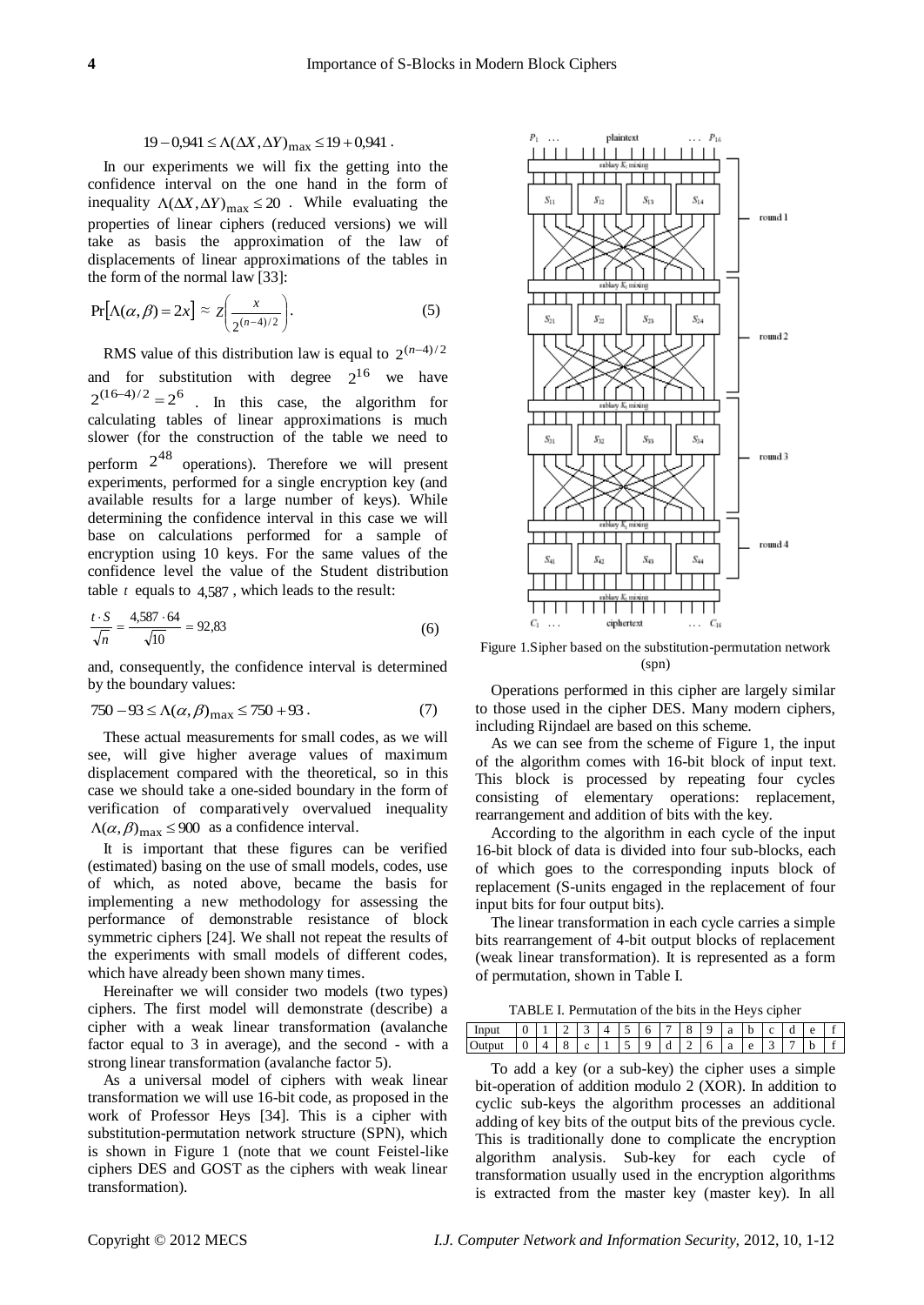In our experiments we will fix the getting into the confidence interval on the one hand in the form of inequality  $\Lambda(\Delta X, \Delta Y)_{\text{max}} \leq 20$ . While evaluating the properties of linear ciphers (reduced versions) we will take as basis the approximation of the law of displacements of linear approximations of the tables in the form of the normal law [33]:

$$
\Pr[\Lambda(\alpha, \beta) = 2x] \approx z \bigg(\frac{x}{2^{(n-4)/2}}\bigg). \tag{5}
$$

RMS value of this distribution law is equal to  $2^{(n-4)/2}$ and for substitution with degree  $2^{16}$  we have  $2^{(16-4)/2} = 2^6$  . In this case, the algorithm for calculating tables of linear approximations is much slower (for the construction of the table we need to perform  $2^{48}$  operations). Therefore we will present experiments, performed for a single encryption key (and available results for a large number of keys). While determining the confidence interval in this case we will base on calculations performed for a sample of encryption using 10 keys. For the same values of the confidence level the value of the Student distribution table  $t$  equals to  $4,587$ , which leads to the result:

$$
\frac{t \cdot S}{\sqrt{n}} = \frac{4{,}587 \cdot 64}{\sqrt{10}} = 92{,}83\tag{6}
$$

and, consequently, the confidence interval is determined by the boundary values:

$$
750 - 93 \le \Lambda(\alpha, \beta)_{\text{max}} \le 750 + 93. \tag{7}
$$

These actual measurements for small codes, as we will see, will give higher average values of maximum displacement compared with the theoretical, so in this case we should take a one-sided boundary in the form of verification of comparatively overvalued inequality  $\Lambda(\alpha,\beta)_{\text{max}} \leq 900$  as a confidence interval.

It is important that these figures can be verified (estimated) basing on the use of small models, codes, use of which, as noted above, became the basis for implementing a new methodology for assessing the performance of demonstrable resistance of block symmetric ciphers [24]. We shall not repeat the results of the experiments with small models of different codes, which have already been shown many times.

Hereinafter we will consider two models (two types) ciphers. The first model will demonstrate (describe) a cipher with a weak linear transformation (avalanche factor equal to 3 in average), and the second - with a strong linear transformation (avalanche factor 5).

As a universal model of ciphers with weak linear transformation we will use 16-bit code, as proposed in the work of Professor Heys [34]. This is a cipher with substitution-permutation network structure (SPN), which is shown in Figure 1 (note that we count Feistel-like ciphers DES and GOST as the ciphers with weak linear transformation).



Figure 1.Sipher based on the substitution-permutation network (spn)

Operations performed in this cipher are largely similar to those used in the cipher DES. Many modern ciphers, including Rijndael are based on this scheme.

As we can see from the scheme of Figure 1, the input of the algorithm comes with 16-bit block of input text. This block is processed by repeating four cycles consisting of elementary operations: replacement, rearrangement and addition of bits with the key.

According to the algorithm in each cycle of the input 16-bit block of data is divided into four sub-blocks, each of which goes to the corresponding inputs block of replacement (S-units engaged in the replacement of four input bits for four output bits).

The linear transformation in each cycle carries a simple bits rearrangement of 4-bit output blocks of replacement (weak linear transformation). It is represented as a form of permutation, shown in Table I.

|  |  |  |  |  |  | TABLE I. Permutation of the bits in the Heys cipher |  |  |
|--|--|--|--|--|--|-----------------------------------------------------|--|--|
|  |  |  |  |  |  |                                                     |  |  |

| U<br>ш   |        |        | Δ |        | 6 |   |   | a | b | ⌒ | $\Delta$ |  |
|----------|--------|--------|---|--------|---|---|---|---|---|---|----------|--|
| 0<br>ى ' | 8<br>Δ | $\sim$ |   | -<br>↖ | 9 | d | O | a | e | ≺ | h        |  |

To add a key (or a sub-key) the cipher uses a simple bit-operation of addition modulo 2 (XOR). In addition to cyclic sub-keys the algorithm processes an additional adding of key bits of the output bits of the previous cycle. This is traditionally done to complicate the encryption algorithm analysis. Sub-key for each cycle of transformation usually used in the encryption algorithms is extracted from the master key (master key). In all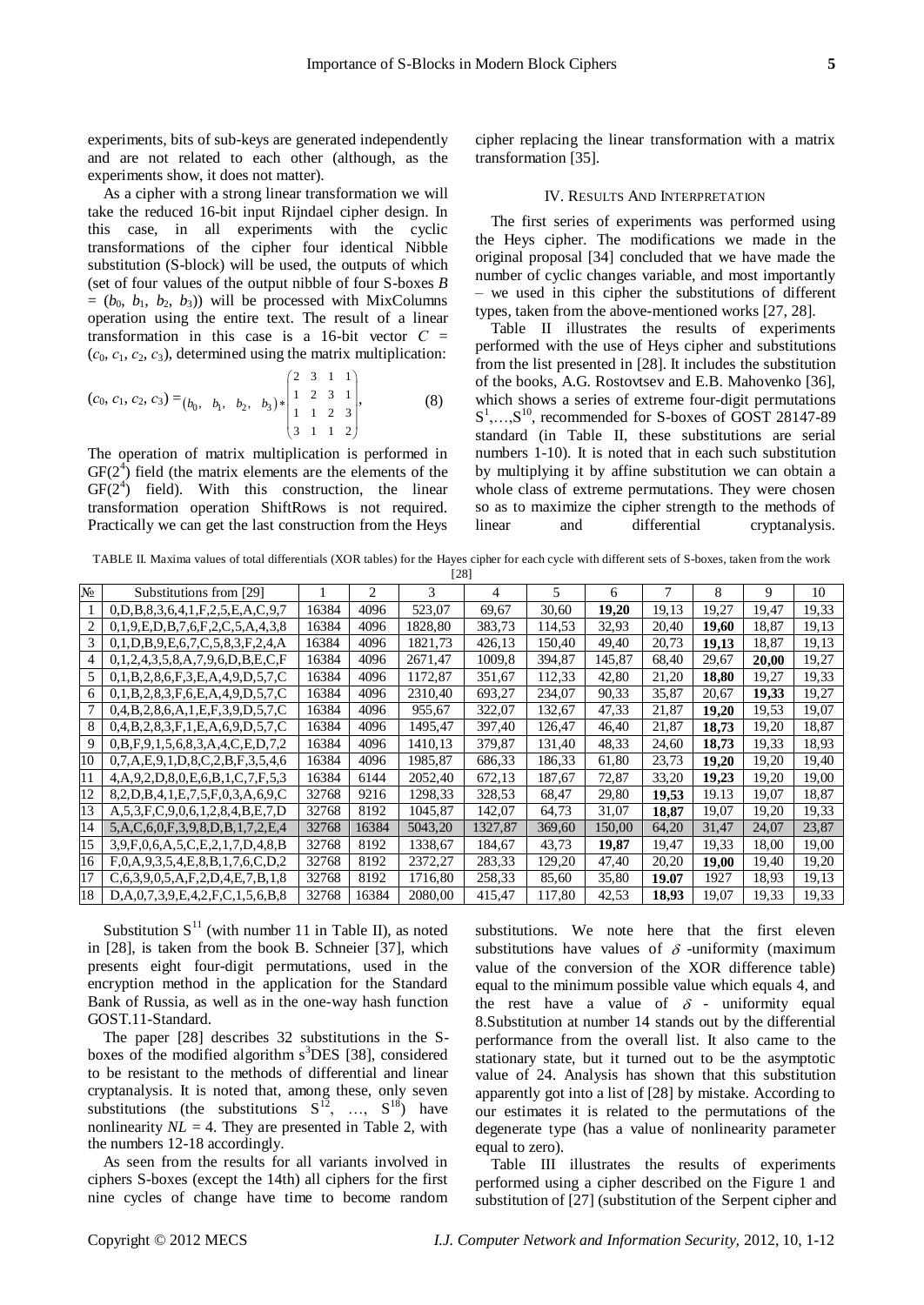experiments, bits of sub-keys are generated independently and are not related to each other (although, as the experiments show, it does not matter).

As a cipher with a strong linear transformation we will take the reduced 16-bit input Rijndael cipher design. In this case, in all experiments with the cyclic transformations of the cipher four identical Nibble substitution (S-block) will be used, the outputs of which (set of four values of the output nibble of four S-boxes *B*  $=(b_0, b_1, b_2, b_3)$  will be processed with MixColumns operation using the entire text. The result of a linear transformation in this case is a 16-bit vector *С* =

$$
(c_0, c_1, c_2, c_3)
$$
, determined using the matrix multiplication:  
\n $(c_0, c_1, c_2, c_3) = (b_0, b_1, b_2, b_3) * \begin{pmatrix} 2 & 3 & 1 & 1 \\ 1 & 2 & 3 & 1 \\ 1 & 1 & 2 & 3 \\ 3 & 1 & 1 & 2 \end{pmatrix}$  (8)

The operation of matrix multiplication is performed in  $GF(2<sup>4</sup>)$  field (the matrix elements are the elements of the  $GF(2<sup>4</sup>)$  field). With this construction, the linear transformation operation ShiftRows is not required. Practically we can get the last construction from the Heys

cipher replacing the linear transformation with a matrix transformation [35].

### IV. RESULTS AND INTERPRETATION

The first series of experiments was performed using the Heys cipher. The modifications we made in the original proposal [34] concluded that we have made the number of cyclic changes variable, and most importantly – we used in this cipher the substitutions of different types, taken from the above-mentioned works [27, 28].

Table II illustrates the results of experiments performed with the use of Heys cipher and substitutions from the list presented in [28]. It includes the substitution of the books, A.G. Rostovtsev and E.B. Mahovenko [36], which shows a series of extreme four-digit permutations  $S^1, \ldots, S^{10}$ , recommended for S-boxes of GOST 28147-89 standard (in Table II, these substitutions are serial numbers 1-10). It is noted that in each such substitution by multiplying it by affine substitution we can obtain a whole class of extreme permutations. They were chosen so as to maximize the cipher strength to the methods of linear and differential cryptanalysis.

TABLE II. Maxima values of total differentials (XOR tables) for the Hayes cipher for each cycle with different sets of S-boxes, taken from the work [28]

| Substitutions from [29]                          |       | $\overline{c}$ | 3       | 4       | 5      | 6      | 7     | 8     | 9     | 10    |  |
|--------------------------------------------------|-------|----------------|---------|---------|--------|--------|-------|-------|-------|-------|--|
| 0, D, B, 8, 3, 6, 4, 1, F, 2, 5, E, A, C, 9, 7   | 16384 | 4096           | 523,07  | 69,67   | 30,60  | 19,20  | 19,13 | 19,27 | 19,47 | 19,33 |  |
| 0,1,9,E,D,B,7,6,F,2,C,5,A,4,3,8                  | 16384 | 4096           | 1828,80 | 383,73  | 114,53 | 32,93  | 20,40 | 19,60 | 18,87 | 19,13 |  |
| 0,1,D,B,9,E,6,7,C,5,8,3,F,2,4,A                  | 16384 | 4096           | 1821,73 | 426,13  | 150,40 | 49,40  | 20,73 | 19,13 | 18,87 | 19,13 |  |
| 0,1,2,4,3,5,8,A,7,9,6,D,B,E,C,F                  | 16384 | 4096           | 2671,47 | 1009.8  | 394,87 | 145,87 | 68,40 | 29,67 | 20,00 | 19,27 |  |
| 0,1,B,2,8,6,F,3,E,A,4,9,D,5,7,C                  | 16384 | 4096           | 1172,87 | 351,67  | 112,33 | 42,80  | 21,20 | 18,80 | 19,27 | 19,33 |  |
| 0,1,B,2,8,3,F,6,E,A,4,9,D,5,7,C                  | 16384 | 4096           | 2310,40 | 693,27  | 234,07 | 90,33  | 35,87 | 20,67 | 19,33 | 19,27 |  |
| 0,4,B,2,8,6,A,1,E,F,3,9,D,5,7,C                  | 16384 | 4096           | 955,67  | 322,07  | 132,67 | 47,33  | 21,87 | 19,20 | 19.53 | 19,07 |  |
| 0,4,B,2,8,3,F,1,E,A,6,9,D,5,7,C                  | 16384 | 4096           | 1495,47 | 397,40  | 126,47 | 46,40  | 21,87 | 18,73 | 19,20 | 18,87 |  |
| 0, B, F, 9, 1, 5, 6, 8, 3, A, 4, C, E, D, 7, 2   | 16384 | 4096           | 1410,13 | 379,87  | 131,40 | 48,33  | 24,60 | 18,73 | 19,33 | 18,93 |  |
| 0,7,A,E,9,1,D,8,C,2,B,F,3,5,4,6                  | 16384 | 4096           | 1985,87 | 686,33  | 186,33 | 61,80  | 23,73 | 19,20 | 19,20 | 19,40 |  |
| 4, A, 9, 2, D, 8, 0, E, 6, B, 1, C, 7, F, 5, 3   | 16384 | 6144           | 2052,40 | 672,13  | 187,67 | 72,87  | 33,20 | 19,23 | 19,20 | 19,00 |  |
| 8, 2, D, B, 4, 1, E, 7, 5, F, 0, 3, A, 6, 9, C   | 32768 | 9216           | 1298,33 | 328,53  | 68,47  | 29,80  | 19.53 | 19.13 | 19,07 | 18,87 |  |
| A, 5, 3, F, C, 9, 0, 6, 1, 2, 8, 4, B, E, 7, D   | 32768 | 8192           | 1045,87 | 142,07  | 64,73  | 31,07  | 18,87 | 19,07 | 19,20 | 19,33 |  |
| 5, A, C, 6, 0, F, 3, 9, 8, D, B, 1, 7, 2, E, 4   | 32768 | 16384          | 5043,20 | 1327,87 | 369,60 | 150,00 | 64,20 | 31,47 | 24,07 | 23,87 |  |
| 3,9,F,0,6,A,5,C,E,2,1,7,D,4,8,B                  | 32768 | 8192           | 1338,67 | 184,67  | 43,73  | 19,87  | 19,47 | 19,33 | 18,00 | 19,00 |  |
| $F, 0, A, 9, 3, 5, 4, E, 8, B, 1, 7, 6, C, D, 2$ | 32768 | 8192           | 2372,27 | 283,33  | 129,20 | 47,40  | 20,20 | 19,00 | 19,40 | 19,20 |  |
| $C, 6, 3, 9, 0, 5, A, F, 2, D, 4, E, 7, B, 1, 8$ | 32768 | 8192           | 1716,80 | 258,33  | 85,60  | 35,80  | 19.07 | 1927  | 18,93 | 19,13 |  |
| D,A,0,7,3,9,E,4,2,F,C,1,5,6,B,8                  | 32768 | 16384          | 2080,00 | 415,47  | 117,80 | 42,53  | 18,93 | 19,07 | 19,33 | 19,33 |  |
|                                                  |       |                |         |         |        |        |       |       |       |       |  |

Substitution  $S<sup>11</sup>$  (with number 11 in Table II), as noted in [28], is taken from the book B. Schneier [37], which presents eight four-digit permutations, used in the encryption method in the application for the Standard Bank of Russia, as well as in the one-way hash function GOST.11-Standard.

The paper [28] describes 32 substitutions in the Sboxes of the modified algorithm  $s<sup>3</sup>DES$  [38], considered to be resistant to the methods of differential and linear cryptanalysis. It is noted that, among these, only seven substitutions (the substitutions  $S^{12}$ ,  $, \ldots, S^{18}$  have nonlinearity  $NL = 4$ . They are presented in Table 2, with the numbers 12-18 accordingly.

As seen from the results for all variants involved in ciphers S-boxes (except the 14th) all ciphers for the first nine cycles of change have time to become random

substitutions. We note here that the first eleven substitutions have values of  $\delta$  -uniformity (maximum value of the conversion of the XOR difference table) equal to the minimum possible value which equals 4, and the rest have a value of  $\delta$  - uniformity equal 8.Substitution at number 14 stands out by the differential performance from the overall list. It also came to the stationary state, but it turned out to be the asymptotic value of 24. Analysis has shown that this substitution apparently got into a list of [28] by mistake. According to our estimates it is related to the permutations of the degenerate type (has a value of nonlinearity parameter equal to zero).

Table III illustrates the results of experiments performed using a cipher described on the Figure 1 and substitution of [27] (substitution of the Serpent cipher and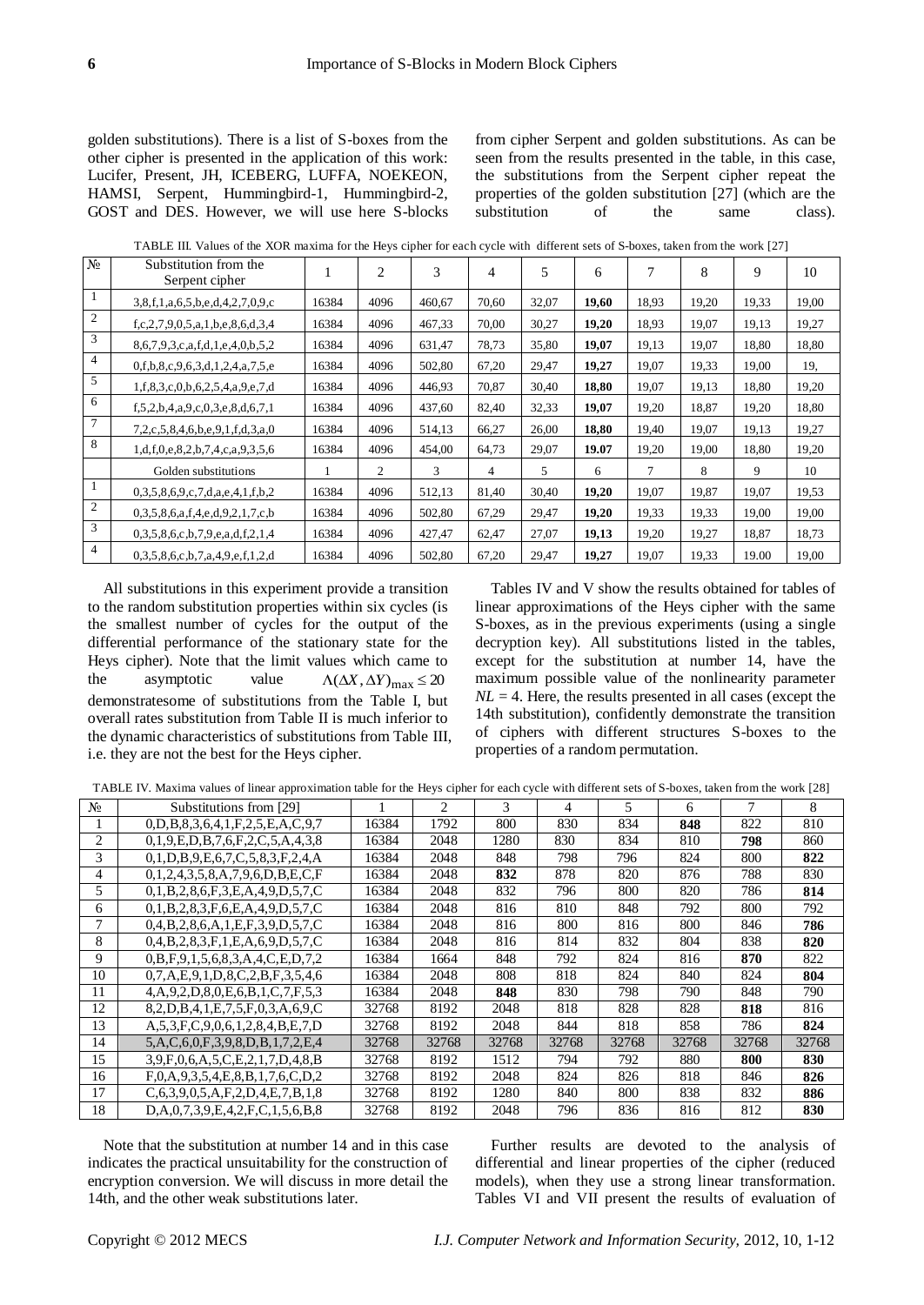golden substitutions). There is a list of S-boxes from the other cipher is presented in the application of this work: Lucifer, Present, JH, ICEBERG, LUFFA, NOEKEON, HAMSI, Serpent, Hummingbird-1, Hummingbird-2, GOST and DES. However, we will use here S-blocks

from cipher Serpent and golden substitutions. As can be seen from the results presented in the table, in this case, the substitutions from the Serpent cipher repeat the properties of the golden substitution [27] (which are the substitution of the same class).

TABLE III. Values of the XOR maxima for the Heys cipher for each cycle with different sets of S-boxes, taken from the work [27]

| $N_2$          | Substitution from the<br>Serpent cipher          |       | $\overline{c}$ | 3      | 4     | 5     | 6     | 7     | 8     | 9     | 10    |
|----------------|--------------------------------------------------|-------|----------------|--------|-------|-------|-------|-------|-------|-------|-------|
| 1              | 3,8,f,1,a,6,5,b,e,d,4,2,7,0,9,c                  | 16384 | 4096           | 460,67 | 70,60 | 32,07 | 19,60 | 18,93 | 19,20 | 19,33 | 19.00 |
| $\overline{c}$ | $f, c, 2, 7, 9, 0, 5, a, 1, b, e, 8, 6, d, 3, 4$ | 16384 | 4096           | 467,33 | 70,00 | 30,27 | 19,20 | 18,93 | 19,07 | 19.13 | 19,27 |
| 3              | 8,6,7,9,3,c,a,f,d,1,e,4,0,b,5,2                  | 16384 | 4096           | 631.47 | 78,73 | 35,80 | 19,07 | 19,13 | 19,07 | 18.80 | 18,80 |
| $\overline{4}$ | 0,f,b,8,c,9,6,3,d,1,2,4,a,7,5,e                  | 16384 | 4096           | 502.80 | 67,20 | 29,47 | 19,27 | 19.07 | 19,33 | 19,00 | 19.   |
| 5              | 1,f,8,3,c,0,b,6,2,5,4,a,9,e,7,d                  | 16384 | 4096           | 446,93 | 70,87 | 30,40 | 18,80 | 19,07 | 19,13 | 18,80 | 19,20 |
| 6              | $f, 5, 2, b, 4, a, 9, c, 0, 3, e, 8, d, 6, 7, 1$ | 16384 | 4096           | 437,60 | 82,40 | 32,33 | 19,07 | 19,20 | 18,87 | 19,20 | 18,80 |
| $\tau$         | 7,2,c,5,8,4,6,b,e,9,1,f,d,3,a,0                  | 16384 | 4096           | 514,13 | 66,27 | 26,00 | 18,80 | 19,40 | 19,07 | 19,13 | 19,27 |
| 8              | 1,d,f,0,e,8,2,b,7,4,c,a,9,3,5,6                  | 16384 | 4096           | 454,00 | 64,73 | 29,07 | 19.07 | 19,20 | 19,00 | 18,80 | 19,20 |
|                | Golden substitutions                             |       | 2              | 3      | 4     | 5     | 6     | 7     | 8     | 9     | 10    |
| $\mathbf{1}$   | 0,3,5,8,6,9,c,7,d,a,e,4,1,f,b,2                  | 16384 | 4096           | 512,13 | 81,40 | 30,40 | 19,20 | 19,07 | 19,87 | 19,07 | 19,53 |
| 2              | 0,3,5,8,6,a,f,4,e,d,9,2,1,7,c,b                  | 16384 | 4096           | 502.80 | 67.29 | 29,47 | 19,20 | 19,33 | 19,33 | 19.00 | 19.00 |
| 3              | 0,3,5,8,6,c,b,7,9,e,a,d,f,2,1,4                  | 16384 | 4096           | 427,47 | 62,47 | 27,07 | 19,13 | 19,20 | 19,27 | 18,87 | 18,73 |
| $\overline{4}$ | $0.3.5.8.6$ ,c,b,7,a,4,9,e,f,1,2,d               | 16384 | 4096           | 502.80 | 67,20 | 29,47 | 19,27 | 19,07 | 19,33 | 19.00 | 19.00 |

All substitutions in this experiment provide a transition to the random substitution properties within six cycles (is the smallest number of cycles for the output of the differential performance of the stationary state for the Heys cipher). Note that the limit values which came to the asymptotic value  $\Lambda(\Delta X, \Delta Y)_{\text{max}} \leq 20$ demonstratesome of substitutions from the Table I, but overall rates substitution from Table II is much inferior to the dynamic characteristics of substitutions from Table III, i.e. they are not the best for the Heys cipher.

Tables IV and V show the results obtained for tables of linear approximations of the Heys cipher with the same S-boxes, as in the previous experiments (using a single decryption key). All substitutions listed in the tables, except for the substitution at number 14, have the maximum possible value of the nonlinearity parameter  $NL = 4$ . Here, the results presented in all cases (except the 14th substitution), confidently demonstrate the transition of ciphers with different structures S-boxes to the properties of a random permutation.

TABLE IV. Maxima values of linear approximation table for the Heys cipher for each cycle with different sets of S-boxes, taken from the work [28]

| No             | Substitutions from [29]                          |       | $\mathfrak{D}$ | 3     | 4     | 5     | 6     | 7     | 8     |
|----------------|--------------------------------------------------|-------|----------------|-------|-------|-------|-------|-------|-------|
|                | 0.D.B.8.3.6.4.1.F.2.5.E.A.C.9.7                  | 16384 | 1792           | 800   | 830   | 834   | 848   | 822   | 810   |
| $\mathfrak{D}$ | 0,1,9,E,D,B,7,6,F,2,C,5,A,4,3,8                  | 16384 | 2048           | 1280  | 830   | 834   | 810   | 798   | 860   |
| 3              | 0,1,D,B,9,E,6,7,C,5,8,3,F,2,4,A                  | 16384 | 2048           | 848   | 798   | 796   | 824   | 800   | 822   |
| 4              | 0,1,2,4,3,5,8,A,7,9,6,D,B,E,C,F                  | 16384 | 2048           | 832   | 878   | 820   | 876   | 788   | 830   |
| 5.             | 0,1,B,2,8,6,F,3,E,A,4,9,D,5,7,C                  | 16384 | 2048           | 832   | 796   | 800   | 820   | 786   | 814   |
| 6              | 0,1,B,2,8,3,F,6,E,A,4,9,D,5,7,C                  | 16384 | 2048           | 816   | 810   | 848   | 792   | 800   | 792   |
|                | 0,4,B,2,8,6,A,1,E,F,3,9,D,5,7,C                  | 16384 | 2048           | 816   | 800   | 816   | 800   | 846   | 786   |
| 8              | 0,4,B,2,8,3,F,1,E,A,6,9,D,5,7,C                  | 16384 | 2048           | 816   | 814   | 832   | 804   | 838   | 820   |
| 9              | 0.B,F,9,1,5,6,8,3,A,4,C,E,D,7,2                  | 16384 | 1664           | 848   | 792   | 824   | 816   | 870   | 822   |
| 10             | 0,7,A,E,9,1,D,8,C,2,B,F,3,5,4,6                  | 16384 | 2048           | 808   | 818   | 824   | 840   | 824   | 804   |
| 11             | 4,A,9,2,D,8,0,E,6,B,1,C,7,F,5,3                  | 16384 | 2048           | 848   | 830   | 798   | 790   | 848   | 790   |
| 12             | 8, 2, D, B, 4, 1, E, 7, 5, F, 0, 3, A, 6, 9, C   | 32768 | 8192           | 2048  | 818   | 828   | 828   | 818   | 816   |
| 13             | A, 5, 3, F, C, 9, 0, 6, 1, 2, 8, 4, B, E, 7, D   | 32768 | 8192           | 2048  | 844   | 818   | 858   | 786   | 824   |
| 14             | 5, A, C, 6, 0, F, 3, 9, 8, D, B, 1, 7, 2, E, 4   | 32768 | 32768          | 32768 | 32768 | 32768 | 32768 | 32768 | 32768 |
| 15             | 3.9.F.0.6.A.5.C.E.2.1.7.D.4.8.B                  | 32768 | 8192           | 1512  | 794   | 792   | 880   | 800   | 830   |
| 16             | $F, 0, A, 9, 3, 5, 4, E, 8, B, 1, 7, 6, C, D, 2$ | 32768 | 8192           | 2048  | 824   | 826   | 818   | 846   | 826   |
| 17             | $C, 6, 3, 9, 0, 5, A, F, 2, D, 4, E, 7, B, 1, 8$ | 32768 | 8192           | 1280  | 840   | 800   | 838   | 832   | 886   |
| 18             | $D, A, 0, 7, 3, 9, E, 4, 2, F, C, 1, 5, 6, B, 8$ | 32768 | 8192           | 2048  | 796   | 836   | 816   | 812   | 830   |

Note that the substitution at number 14 and in this case indicates the practical unsuitability for the construction of encryption conversion. We will discuss in more detail the 14th, and the other weak substitutions later.

Further results are devoted to the analysis of differential and linear properties of the cipher (reduced models), when they use a strong linear transformation. Tables VI and VII present the results of evaluation of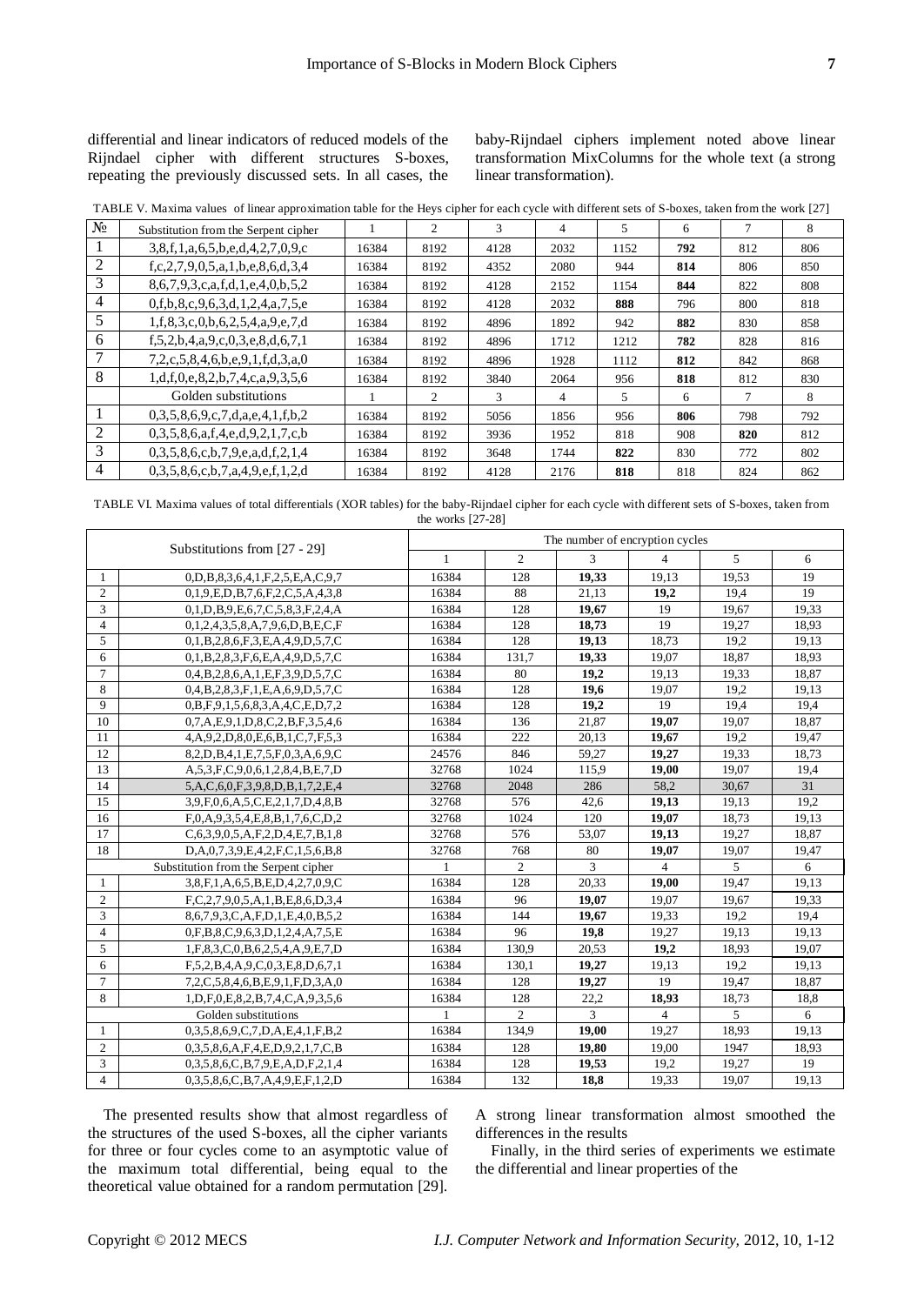differential and linear indicators of reduced models of the Rijndael cipher with different structures S-boxes, repeating the previously discussed sets. In all cases, the baby-Rijndael ciphers implement noted above linear transformation MixColumns for the whole text (a strong linear transformation).

| N <sub>2</sub> | Substitution from the Serpent cipher             |       | 2    | 3             | 4    | 5    | 6   |     | 8   |
|----------------|--------------------------------------------------|-------|------|---------------|------|------|-----|-----|-----|
|                | 3,8,f,1,a,6,5,b,e,d,4,2,7,0,9,c                  | 16384 | 8192 | 4128          | 2032 | 1152 | 792 | 812 | 806 |
| 2              | $f_{\rm,c,2,7,9,0,5,a,1,b,e,8,6,d,3,4}$          | 16384 | 8192 | 4352          | 2080 | 944  | 814 | 806 | 850 |
| 3              | 8,6,7,9,3,c,a,f,d,1,e,4,0,b,5,2                  | 16384 | 8192 | 4128          | 2152 | 1154 | 844 | 822 | 808 |
| 4              | 0,f,b,8,c,9,6,3,d,1,2,4,a,7,5,e                  | 16384 | 8192 | 4128          | 2032 | 888  | 796 | 800 | 818 |
| 5              | 1,f,8,3,c,0,b,6,2,5,4,a,9,e,7,d                  | 16384 | 8192 | 4896          | 1892 | 942  | 882 | 830 | 858 |
| 6              | $f, 5, 2, b, 4, a, 9, c, 0, 3, e, 8, d, 6, 7, 1$ | 16384 | 8192 | 4896          | 1712 | 1212 | 782 | 828 | 816 |
| 7              | 7,2,c,5,8,4,6,b,e,9,1,f,d,3,a,0                  | 16384 | 8192 | 4896          | 1928 | 1112 | 812 | 842 | 868 |
| 8              | 1,d,f,0,e,8,2,b,7,4,c,a,9,3,5,6                  | 16384 | 8192 | 3840          | 2064 | 956  | 818 | 812 | 830 |
|                | Golden substitutions                             |       | 2    | $\mathcal{R}$ | 4    | 5    | 6   | 7   | 8   |
|                | 0,3,5,8,6,9,c,7,d,a,e,4,1,f,b,2                  | 16384 | 8192 | 5056          | 1856 | 956  | 806 | 798 | 792 |
| 2              | 0,3,5,8,6,a,f,4,e,d,9,2,1,7,c,b                  | 16384 | 8192 | 3936          | 1952 | 818  | 908 | 820 | 812 |
| 3              | 0,3,5,8,6,c,b,7,9,e,a,d,f,2,1,4                  | 16384 | 8192 | 3648          | 1744 | 822  | 830 | 772 | 802 |
| 4              | 0,3,5,8,6,c,b,7,a,4,9,e,f,1,2,d                  | 16384 | 8192 | 4128          | 2176 | 818  | 818 | 824 | 862 |

TABLE VI. Maxima values of total differentials (XOR tables) for the baby-Rijndael cipher for each cycle with different sets of S-boxes, taken from the works  $[27-28]$ 

|                | Substitutions from [27 - 29]                     | The number of encryption cycles |                |       |                |       |       |  |  |  |  |
|----------------|--------------------------------------------------|---------------------------------|----------------|-------|----------------|-------|-------|--|--|--|--|
|                |                                                  | 1                               | $\overline{2}$ | 3     | $\overline{4}$ | 5     | 6     |  |  |  |  |
| 1              | 0, D, B, 8, 3, 6, 4, 1, F, 2, 5, E, A, C, 9, 7   | 16384                           | 128            | 19,33 | 19,13          | 19,53 | 19    |  |  |  |  |
| 2              | 0,1,9,E,D,B,7,6,F,2,C,5,A,4,3,8                  | 16384                           | 88             | 21.13 | 19,2           | 19.4  | 19    |  |  |  |  |
| 3              | 0,1,D,B,9,E,6,7,C,5,8,3,F,2,4,A                  | 16384                           | 128            | 19,67 | 19             | 19,67 | 19,33 |  |  |  |  |
| $\overline{4}$ | 0,1,2,4,3,5,8,A,7,9,6,D,B,E,C,F                  | 16384                           | 128            | 18,73 | 19             | 19,27 | 18,93 |  |  |  |  |
| 5              | 0,1,B,2,8,6,F,3,E,A,4,9,D,5,7,C                  | 16384                           | 128            | 19,13 | 18,73          | 19,2  | 19,13 |  |  |  |  |
| 6              | 0,1,B,2,8,3,F,6,E,A,4,9,D,5,7,C                  | 16384                           | 131,7          | 19,33 | 19,07          | 18,87 | 18,93 |  |  |  |  |
| $\overline{7}$ | 0,4,B,2,8,6,A,1,E,F,3,9,D,5,7,C                  | 16384                           | 80             | 19,2  | 19,13          | 19,33 | 18,87 |  |  |  |  |
| 8              | 0,4,B,2,8,3,F,1,E,A,6,9,D,5,7,C                  | 16384                           | 128            | 19,6  | 19,07          | 19,2  | 19,13 |  |  |  |  |
| 9              | 0, B, F, 9, 1, 5, 6, 8, 3, A, 4, C, E, D, 7, 2   | 16384                           | 128            | 19,2  | 19             | 19,4  | 19,4  |  |  |  |  |
| 10             | 0.7.A.E.9.1.D.8.C.2.B.F.3.5.4.6                  | 16384                           | 136            | 21,87 | 19,07          | 19,07 | 18,87 |  |  |  |  |
| 11             | 4, A, 9, 2, D, 8, 0, E, 6, B, 1, C, 7, F, 5, 3   | 16384                           | 222            | 20,13 | 19.67          | 19,2  | 19,47 |  |  |  |  |
| 12             | 8,2,D,B,4,1,E,7,5,F,0,3,A,6,9,C                  | 24576                           | 846            | 59,27 | 19,27          | 19,33 | 18,73 |  |  |  |  |
| 13             | A, 5, 3, F, C, 9, 0, 6, 1, 2, 8, 4, B, E, 7, D   | 32768                           | 1024           | 115,9 | 19,00          | 19,07 | 19,4  |  |  |  |  |
| 14             | 5, A, C, 6, 0, F, 3, 9, 8, D, B, 1, 7, 2, E, 4   | 32768                           | 2048           | 286   | 58,2           | 30,67 | 31    |  |  |  |  |
| 15             | 3,9,F,0,6,A,5,C,E,2,1,7,D,4,8,B                  | 32768                           | 576            | 42,6  | 19,13          | 19,13 | 19,2  |  |  |  |  |
| 16             | F,0,A,9,3,5,4,E,8,B,1,7,6,C,D,2                  | 32768                           | 1024           | 120   | 19,07          | 18,73 | 19,13 |  |  |  |  |
| 17             | $C, 6, 3, 9, 0, 5, A, F, 2, D, 4, E, 7, B, 1, 8$ | 32768                           | 576            | 53,07 | 19.13          | 19,27 | 18,87 |  |  |  |  |
| 18             | D,A,0,7,3,9,E,4,2,F,C,1,5,6,B,8                  | 32768                           | 768            | 80    | 19,07          | 19,07 | 19,47 |  |  |  |  |
|                | Substitution from the Serpent cipher             | 1                               | $\overline{2}$ | 3     | $\overline{4}$ | 5     | 6     |  |  |  |  |
| -1             | 3,8,F,1,A,6,5,B,E,D,4,2,7,0,9,C                  | 16384                           | 128            | 20,33 | 19,00          | 19,47 | 19,13 |  |  |  |  |
| $\overline{c}$ | F,C,2,7,9,0,5,A,1,B,E,8,6,D,3,4                  | 16384                           | 96             | 19,07 | 19,07          | 19,67 | 19,33 |  |  |  |  |
| 3              | 8,6,7,9,3,C,A,F,D,1,E,4,0,B,5,2                  | 16384                           | 144            | 19,67 | 19,33          | 19,2  | 19,4  |  |  |  |  |
| $\overline{4}$ | 0.F,B,8,C,9,6,3,D,1,2,4,A,7,5,E                  | 16384                           | 96             | 19,8  | 19,27          | 19,13 | 19,13 |  |  |  |  |
| 5              | 1,F,8,3,C,0,B,6,2,5,4,A,9,E,7,D                  | 16384                           | 130.9          | 20,53 | 19,2           | 18,93 | 19,07 |  |  |  |  |
| 6              | F,5,2,B,4,A,9,C,0,3,E,8,D,6,7,1                  | 16384                           | 130.1          | 19,27 | 19,13          | 19,2  | 19,13 |  |  |  |  |
| $\overline{7}$ | 7,2,C,5,8,4,6,B,E,9,1,F,D,3,A,0                  | 16384                           | 128            | 19,27 | 19             | 19,47 | 18,87 |  |  |  |  |
| 8              | 1, D, F, 0, E, 8, 2, B, 7, 4, C, A, 9, 3, 5, 6   | 16384                           | 128            | 22,2  | 18,93          | 18,73 | 18,8  |  |  |  |  |
|                | Golden substitutions                             | 1                               | $\overline{2}$ | 3     | $\overline{4}$ | 5     | 6     |  |  |  |  |
| 1              | 0,3,5,8,6,9,C,7,D,A,E,4,1,F,B,2                  | 16384                           | 134,9          | 19,00 | 19,27          | 18,93 | 19,13 |  |  |  |  |
| $\overline{c}$ | 0,3,5,8,6,A,F,4,E,D,9,2,1,7,C,B                  | 16384                           | 128            | 19,80 | 19,00          | 1947  | 18,93 |  |  |  |  |
| $\overline{3}$ | 0,3,5,8,6,C,B,7,9,E,A,D,F,2,1,4                  | 16384                           | 128            | 19,53 | 19.2           | 19,27 | 19    |  |  |  |  |
| $\overline{4}$ | 0,3,5,8,6,C,B,7,A,4,9,E,F,1,2,D                  | 16384                           | 132            | 18,8  | 19,33          | 19,07 | 19,13 |  |  |  |  |

The presented results show that almost regardless of the structures of the used S-boxes, all the cipher variants for three or four cycles come to an asymptotic value of the maximum total differential, being equal to the theoretical value obtained for a random permutation [29].

A strong linear transformation almost smoothed the differences in the results

Finally, in the third series of experiments we estimate the differential and linear properties of the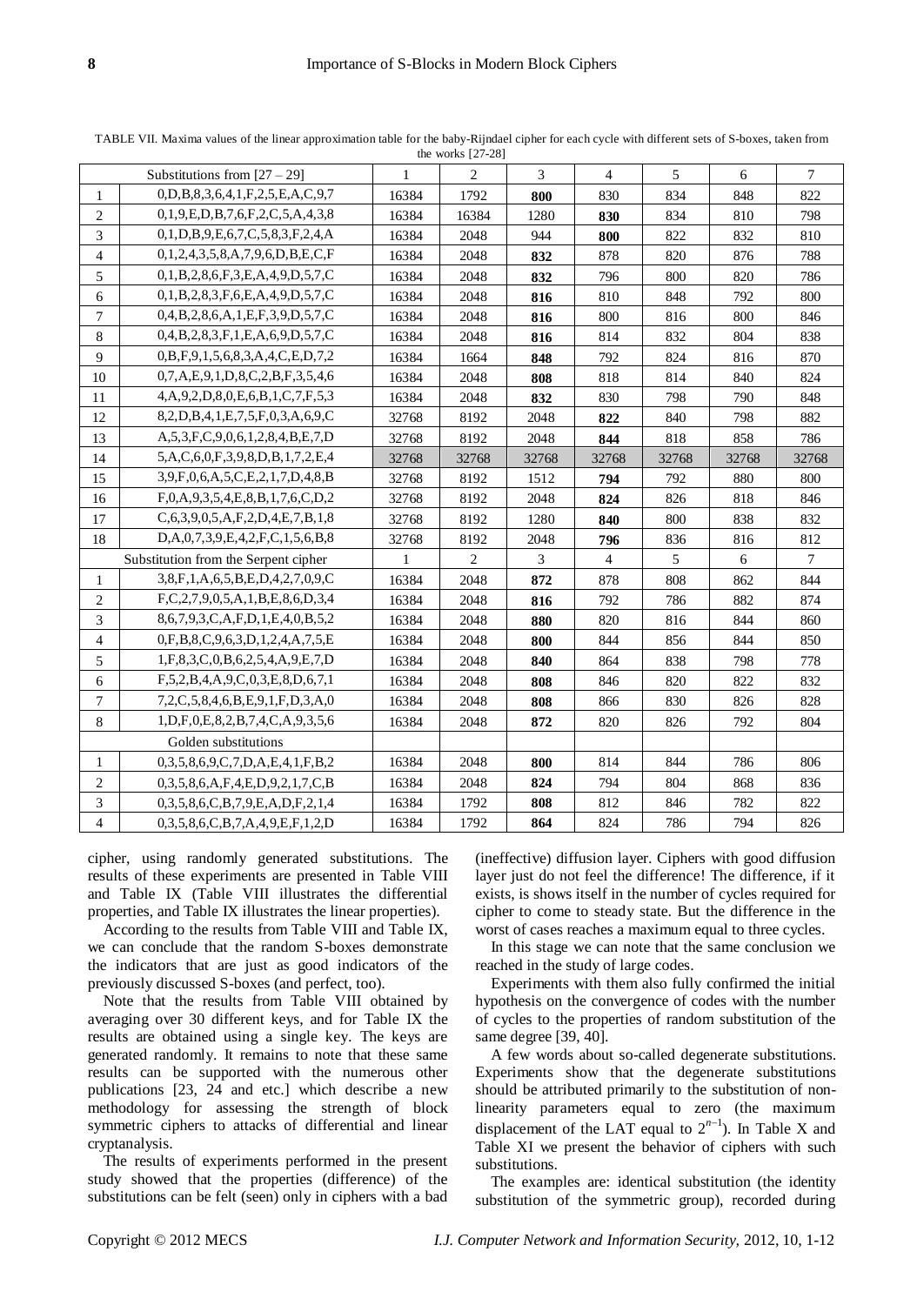|                | Substitutions from $[27 - 29]$                   | $\mathbf{1}$ | $\overline{2}$ | 3     | $\overline{4}$ | 5     | 6     | $\tau$ |
|----------------|--------------------------------------------------|--------------|----------------|-------|----------------|-------|-------|--------|
| $\mathbf{1}$   | 0, D, B, 8, 3, 6, 4, 1, F, 2, 5, E, A, C, 9, 7   | 16384        | 1792           | 800   | 830            | 834   | 848   | 822    |
| $\overline{2}$ | 0,1,9,E,D,B,7,6,F,2,C,5,A,4,3,8                  | 16384        | 16384          | 1280  | 830            | 834   | 810   | 798    |
| 3              | 0,1,D,B,9,E,6,7,C,5,8,3,F,2,4,A                  | 16384        | 2048           | 944   | 800            | 822   | 832   | 810    |
| $\overline{4}$ | 0,1,2,4,3,5,8,A,7,9,6,D,B,E,C,F                  | 16384        | 2048           | 832   | 878            | 820   | 876   | 788    |
| 5              | 0,1,B,2,8,6,F,3,E,A,4,9,D,5,7,C                  | 16384        | 2048           | 832   | 796            | 800   | 820   | 786    |
| 6              | 0,1,B,2,8,3,F,6,E,A,4,9,D,5,7,C                  | 16384        | 2048           | 816   | 810            | 848   | 792   | 800    |
| $\overline{7}$ | 0,4, B, 2, 8, 6, A, 1, E, F, 3, 9, D, 5, 7, C    | 16384        | 2048           | 816   | 800            | 816   | 800   | 846    |
| 8              | 0,4,B,2,8,3,F,1,E,A,6,9,D,5,7,C                  | 16384        | 2048           | 816   | 814            | 832   | 804   | 838    |
| 9              | 0, B, F, 9, 1, 5, 6, 8, 3, A, 4, C, E, D, 7, 2   | 16384        | 1664           | 848   | 792            | 824   | 816   | 870    |
| 10             | 0,7,A,E,9,1,D,8,C,2,B,F,3,5,4,6                  | 16384        | 2048           | 808   | 818            | 814   | 840   | 824    |
| 11             | 4, A, 9, 2, D, 8, 0, E, 6, B, 1, C, 7, F, 5, 3   | 16384        | 2048           | 832   | 830            | 798   | 790   | 848    |
| 12             | 8, 2, D, B, 4, 1, E, 7, 5, F, 0, 3, A, 6, 9, C   | 32768        | 8192           | 2048  | 822            | 840   | 798   | 882    |
| 13             | A, 5, 3, F, C, 9, 0, 6, 1, 2, 8, 4, B, E, 7, D   | 32768        | 8192           | 2048  | 844            | 818   | 858   | 786    |
| 14             | 5, A, C, 6, 0, F, 3, 9, 8, D, B, 1, 7, 2, E, 4   | 32768        | 32768          | 32768 | 32768          | 32768 | 32768 | 32768  |
| 15             | 3,9,F,0,6,A,5,C,E,2,1,7,D,4,8,B                  | 32768        | 8192           | 1512  | 794            | 792   | 880   | 800    |
| 16             | $F, 0, A, 9, 3, 5, 4, E, 8, B, 1, 7, 6, C, D, 2$ | 32768        | 8192           | 2048  | 824            | 826   | 818   | 846    |
| 17             | $C, 6, 3, 9, 0, 5, A, F, 2, D, 4, E, 7, B, 1, 8$ | 32768        | 8192           | 1280  | 840            | 800   | 838   | 832    |
| 18             | D,A,0,7,3,9,E,4,2,F,C,1,5,6,B,8                  | 32768        | 8192           | 2048  | 796            | 836   | 816   | 812    |
|                | Substitution from the Serpent cipher             | 1            | 2              | 3     | 4              | 5     | 6     | $\tau$ |
| $\mathbf{1}$   | 3,8,F,1,A,6,5,B,E,D,4,2,7,0,9,C                  | 16384        | 2048           | 872   | 878            | 808   | 862   | 844    |
| $\overline{c}$ | $F, C, 2, 7, 9, 0, 5, A, 1, B, E, 8, 6, D, 3, 4$ | 16384        | 2048           | 816   | 792            | 786   | 882   | 874    |
| $\mathfrak{Z}$ | 8,6,7,9,3,C,A,F,D,1,E,4,0,B,5,2                  | 16384        | 2048           | 880   | 820            | 816   | 844   | 860    |
| $\overline{4}$ | 0,F,B,8,C,9,6,3,D,1,2,4,A,7,5,E                  | 16384        | 2048           | 800   | 844            | 856   | 844   | 850    |
| 5              | 1,F,8,3,C,0,B,6,2,5,4,A,9,E,7,D                  | 16384        | 2048           | 840   | 864            | 838   | 798   | 778    |
| 6              | F,5,2,B,4,A,9,C,0,3,E,8,D,6,7,1                  | 16384        | 2048           | 808   | 846            | 820   | 822   | 832    |
| $\overline{7}$ | 7,2,C,5,8,4,6,B,E,9,1,F,D,3,A,0                  | 16384        | 2048           | 808   | 866            | 830   | 826   | 828    |
| $8\,$          | 1, D, F, 0, E, 8, 2, B, 7, 4, C, A, 9, 3, 5, 6   | 16384        | 2048           | 872   | 820            | 826   | 792   | 804    |
|                | Golden substitutions                             |              |                |       |                |       |       |        |
| 1              | 0,3,5,8,6,9,C,7,D,A,E,4,1,F,B,2                  | 16384        | 2048           | 800   | 814            | 844   | 786   | 806    |
| $\overline{c}$ | 0,3,5,8,6,A,F,4,E,D,9,2,1,7,C,B                  | 16384        | 2048           | 824   | 794            | 804   | 868   | 836    |
| 3              | 0,3,5,8,6,C,B,7,9,E,A,D,F,2,1,4                  | 16384        | 1792           | 808   | 812            | 846   | 782   | 822    |
| $\overline{4}$ | $0.3.5.8.6$ , C, B, 7, A, 4, 9, E, F, 1, 2, D    | 16384        | 1792           | 864   | 824            | 786   | 794   | 826    |
|                |                                                  |              |                |       |                |       |       |        |

TABLE VII. Maxima values of the linear approximation table for the baby-Rijndael cipher for each cycle with different sets of S-boxes, taken from the works [27-28]

cipher, using randomly generated substitutions. The results of these experiments are presented in Table VIII and Table IX (Table VIII illustrates the differential properties, and Table IX illustrates the linear properties).

According to the results from Table VIII and Table IX, we can conclude that the random S-boxes demonstrate the indicators that are just as good indicators of the previously discussed S-boxes (and perfect, too).

Note that the results from Table VIII obtained by averaging over 30 different keys, and for Table IX the results are obtained using a single key. The keys are generated randomly. It remains to note that these same results can be supported with the numerous other publications [23, 24 and etc.] which describe a new methodology for assessing the strength of block symmetric ciphers to attacks of differential and linear cryptanalysis.

The results of experiments performed in the present study showed that the properties (difference) of the substitutions can be felt (seen) only in ciphers with a bad

(ineffective) diffusion layer. Ciphers with good diffusion layer just do not feel the difference! The difference, if it exists, is shows itself in the number of cycles required for cipher to come to steady state. But the difference in the worst of cases reaches a maximum equal to three cycles.

In this stage we can note that the same conclusion we reached in the study of large codes.

Experiments with them also fully confirmed the initial hypothesis on the convergence of codes with the number of cycles to the properties of random substitution of the same degree [39, 40].

A few words about so-called degenerate substitutions. Experiments show that the degenerate substitutions should be attributed primarily to the substitution of nonlinearity parameters equal to zero (the maximum displacement of the LAT equal to  $2^{n-1}$ ). In Table X and Table XI we present the behavior of ciphers with such substitutions.

The examples are: identical substitution (the identity substitution of the symmetric group), recorded during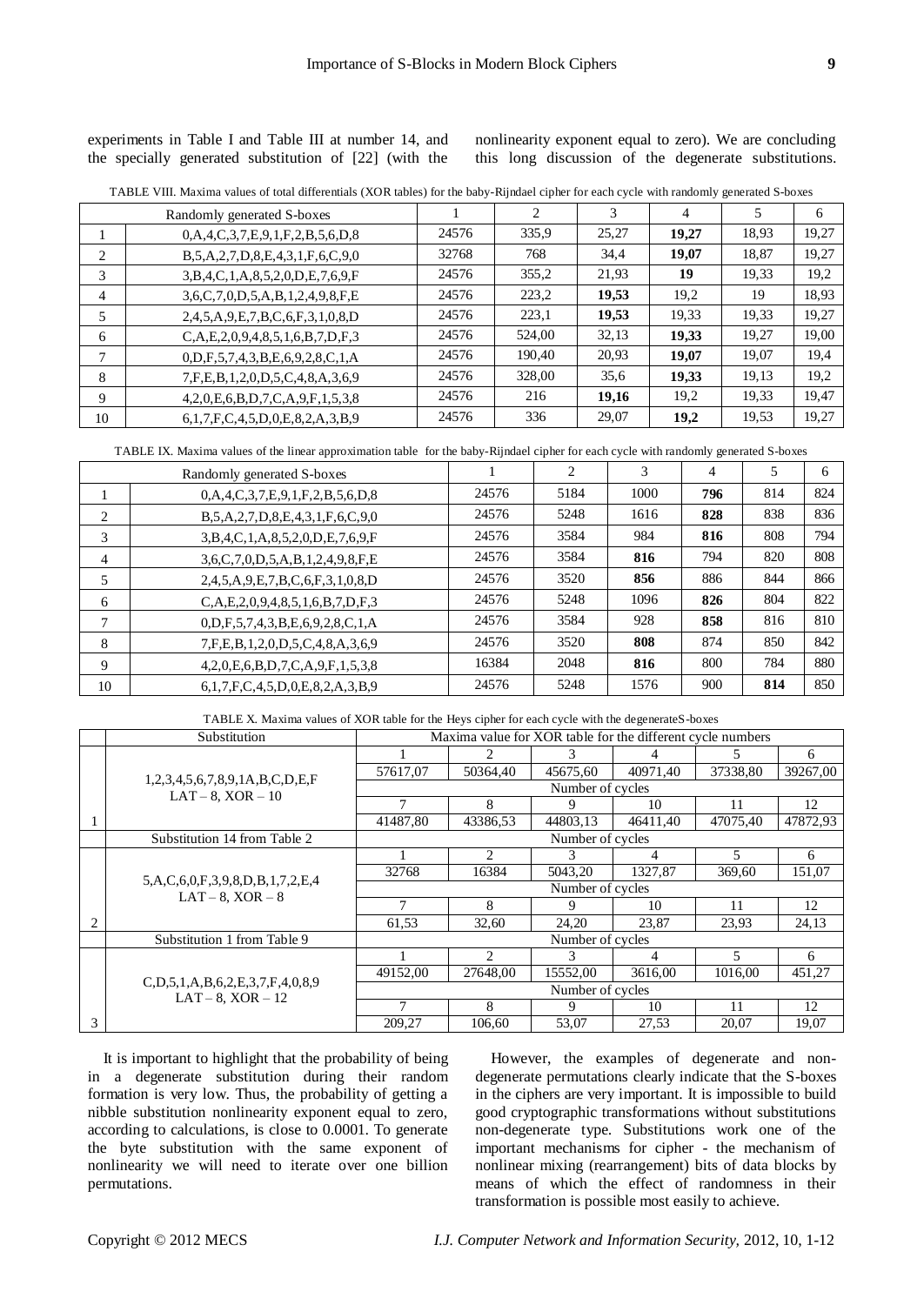experiments in Table I and Table III at number 14, and the specially generated substitution of [22] (with the nonlinearity exponent equal to zero). We are concluding this long discussion of the degenerate substitutions.

| TABLE VIII. Maxima values of total differentials (XOR tables) for the baby-Rijndael cipher for each cycle with randomly generated S-boxes | in a common proposition of the common proposition of the common contract of the common contract of the common o |  |  |
|-------------------------------------------------------------------------------------------------------------------------------------------|-----------------------------------------------------------------------------------------------------------------|--|--|
|                                                                                                                                           |                                                                                                                 |  |  |

|    | Randomly generated S-boxes                                                              |       | 2      | 3     | 4     | 5     | 6     |
|----|-----------------------------------------------------------------------------------------|-------|--------|-------|-------|-------|-------|
|    | $0, A, 4, C, 3, 7, E, 9, 1, F, 2, B, 5, 6, D, 8$                                        | 24576 | 335,9  | 25,27 | 19,27 | 18.93 | 19,27 |
| 2  | B, 5, A, 2, 7, D, 8, E, 4, 3, 1, F, 6, C, 9, 0                                          | 32768 | 768    | 34,4  | 19,07 | 18.87 | 19,27 |
| 3  | 3, B, 4, C, 1, A, 8, 5, 2, 0, D, E, 7, 6, 9, F                                          | 24576 | 355,2  | 21,93 | 19    | 19,33 | 19,2  |
| 4  | 3,6,C,7,0,D,5,A,B,1,2,4,9,8,F,E                                                         | 24576 | 223,2  | 19,53 | 19,2  | 19    | 18,93 |
|    | 2,4,5,A,9,E,7,B,C,6,F,3,1,0,8,D                                                         | 24576 | 223,1  | 19,53 | 19,33 | 19,33 | 19,27 |
| 6  | C,A,E,2,0,9,4,8,5,1,6,B,7,D,F,3                                                         | 24576 | 524,00 | 32,13 | 19,33 | 19.27 | 19,00 |
| 7  | 0, D, F, 5, 7, 4, 3, B, E, 6, 9, 2, 8, C, 1, A                                          | 24576 | 190,40 | 20,93 | 19,07 | 19.07 | 19.4  |
| 8  | 7, F, E, B, 1, 2, 0, D, 5, C, 4, 8, A, 3, 6, 9                                          | 24576 | 328,00 | 35,6  | 19,33 | 19,13 | 19,2  |
| 9  | 4,2,0,E,6,B,D,7,C,A,9,F,1,5,3,8                                                         | 24576 | 216    | 19,16 | 19,2  | 19,33 | 19,47 |
| 10 | $6,1,7,\mathrm{F},\mathrm{C},4,5,\mathrm{D},0,\mathrm{E},8,2,\mathrm{A},3,\mathrm{B},9$ | 24576 | 336    | 29,07 | 19,2  | 19,53 | 19,27 |

TABLE IX. Maxima values of the linear approximation table for the baby-Rijndael cipher for each cycle with randomly generated S-boxes

|                | Randomly generated S-boxes                                                  |       | 2    | 3    | 4   | 5   | 6   |
|----------------|-----------------------------------------------------------------------------|-------|------|------|-----|-----|-----|
|                | $0, A, 4, C, 3, 7, E, 9, 1, F, 2, B, 5, 6, D, 8$                            | 24576 | 5184 | 1000 | 796 | 814 | 824 |
| 2              | B, 5, A, 2, 7, D, 8, E, 4, 3, 1, F, 6, C, 9, 0                              | 24576 | 5248 | 1616 | 828 | 838 | 836 |
| 3              | 3, B, 4, C, 1, A, 8, 5, 2, 0, D, E, 7, 6, 9, F                              | 24576 | 3584 | 984  | 816 | 808 | 794 |
| $\overline{4}$ | $3,6, C, 7,0, D, 5, A, B, 1,2,4,9,8, F, E$                                  | 24576 | 3584 | 816  | 794 | 820 | 808 |
| 5              | 2,4,5,A,9,E,7,B,C,6,F,3,1,0,8,D                                             | 24576 | 3520 | 856  | 886 | 844 | 866 |
| 6              | $C, A, E, 2, 0, 9, 4, 8, 5, 1, 6, B, 7, D, F, 3$                            | 24576 | 5248 | 1096 | 826 | 804 | 822 |
| 7              | $0, D, F, 5, 7, 4, 3, B, E, 6, 9, 2, 8, C, 1, A$                            | 24576 | 3584 | 928  | 858 | 816 | 810 |
| 8              | 7, F, E, B, 1, 2, 0, D, 5, C, 4, 8, A, 3, 6, 9                              | 24576 | 3520 | 808  | 874 | 850 | 842 |
| 9              | $4,2,0,\text{E},6,\text{B},\text{D},7,\text{C},\text{A},9,\text{F},1,5,3,8$ | 16384 | 2048 | 816  | 800 | 784 | 880 |
| 10             | 6,1,7,F,C,4,5,D,0,E,8,2,A,3,B,9                                             | 24576 | 5248 | 1576 | 900 | 814 | 850 |

TABLE X. Maxima values of XOR table for the Heys cipher for each cycle with the degenerateS-boxes

|   | Substitution                                                        | Maxima value for XOR table for the different cycle numbers |                |          |          |          |          |  |  |
|---|---------------------------------------------------------------------|------------------------------------------------------------|----------------|----------|----------|----------|----------|--|--|
|   | 1,2,3,4,5,6,7,8,9,1A,B,C,D,E,F<br>$LAT-8$ , $XOR-10$                |                                                            |                | 3        |          |          | 6        |  |  |
|   |                                                                     | 57617.07                                                   | 50364.40       | 45675.60 | 40971.40 | 37338.80 | 39267.00 |  |  |
|   |                                                                     | Number of cycles                                           |                |          |          |          |          |  |  |
|   |                                                                     | $\mathbf{r}$                                               | 8              | 9        | 10       | 11       | 12       |  |  |
|   |                                                                     | 41487.80                                                   | 43386.53       | 44803,13 | 46411.40 | 47075.40 | 47872.93 |  |  |
|   | Substitution 14 from Table 2                                        | Number of cycles                                           |                |          |          |          |          |  |  |
|   | 5, A, C, 6, 0, F, 3, 9, 8, D, B, 1, 7, 2, E, 4<br>$LAT-8$ , $XOR-8$ |                                                            | $\mathfrak{D}$ |          |          | 5        | 6        |  |  |
|   |                                                                     | 32768                                                      | 16384          | 5043,20  | 1327,87  | 369,60   | 151,07   |  |  |
|   |                                                                     | Number of cycles                                           |                |          |          |          |          |  |  |
|   |                                                                     |                                                            | 8              | 9        | 10       | 11       | 12       |  |  |
| 2 |                                                                     | 61,53                                                      | 32,60          | 24.20    | 23.87    | 23,93    | 24,13    |  |  |
|   | Substitution 1 from Table 9                                         | Number of cycles                                           |                |          |          |          |          |  |  |
|   | C,D,5,1,A,B,6,2,E,3,7,F,4,0,8,9<br>$LAT-8$ , $XOR-12$               |                                                            | $\mathfrak{D}$ | 3        | 4        | 5        | 6        |  |  |
|   |                                                                     | 49152,00                                                   | 27648.00       | 15552,00 | 3616,00  | 1016.00  | 451,27   |  |  |
|   |                                                                     | Number of cycles                                           |                |          |          |          |          |  |  |
|   |                                                                     |                                                            | 8              | 9        | 10       | 11       | 12       |  |  |
| 3 |                                                                     | 209.27                                                     | 106.60         | 53,07    | 27,53    | 20.07    | 19,07    |  |  |

It is important to highlight that the probability of being in a degenerate substitution during their random formation is very low. Thus, the probability of getting a nibble substitution nonlinearity exponent equal to zero, according to calculations, is close to 0.0001. To generate the byte substitution with the same exponent of nonlinearity we will need to iterate over one billion permutations.

However, the examples of degenerate and nondegenerate permutations clearly indicate that the S-boxes in the ciphers are very important. It is impossible to build good cryptographic transformations without substitutions non-degenerate type. Substitutions work one of the important mechanisms for cipher - the mechanism of nonlinear mixing (rearrangement) bits of data blocks by means of which the effect of randomness in their transformation is possible most easily to achieve.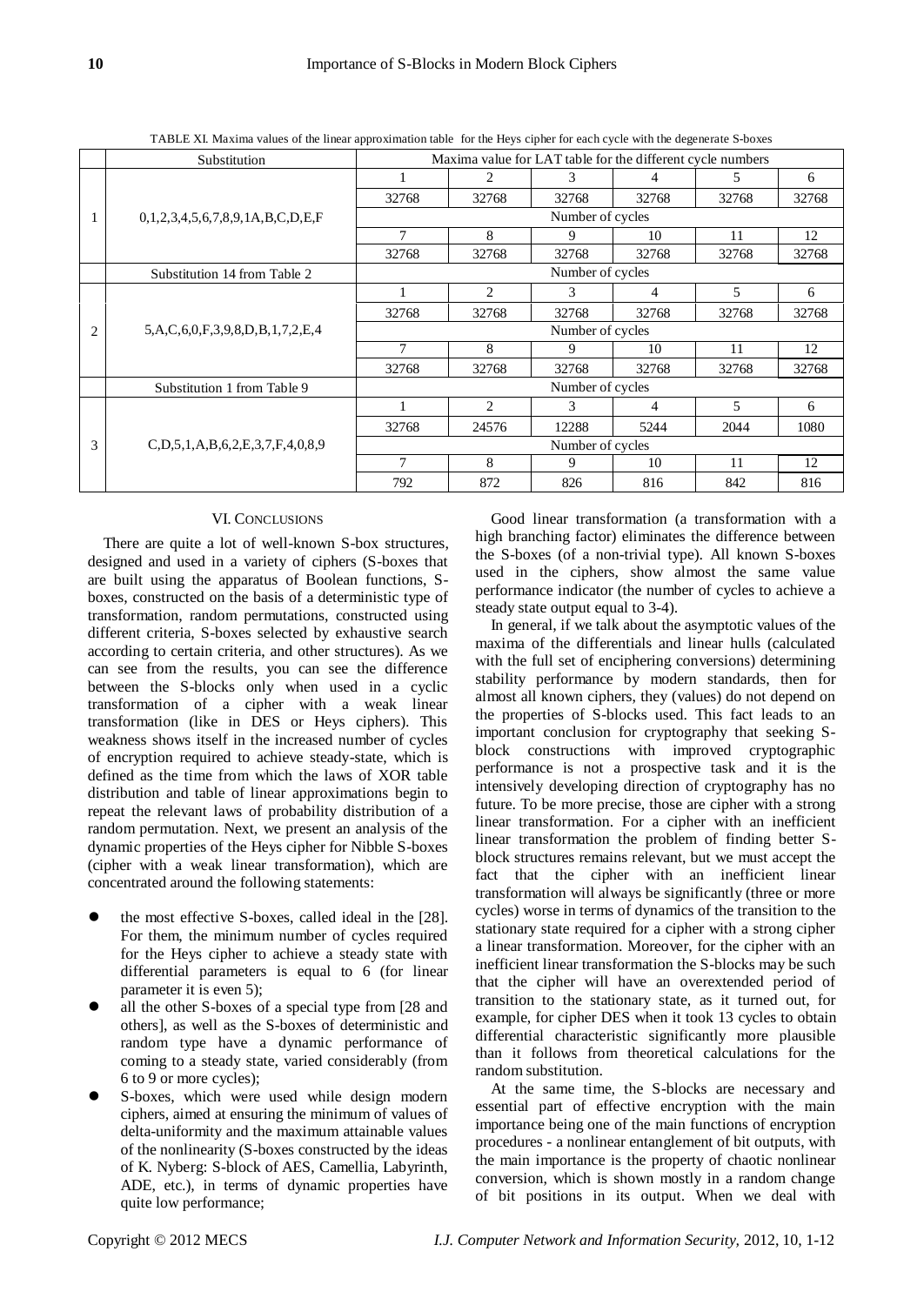|                | Substitution                                   | Maxima value for LAT table for the different cycle numbers |                |       |       |       |       |  |  |
|----------------|------------------------------------------------|------------------------------------------------------------|----------------|-------|-------|-------|-------|--|--|
|                | 0,1,2,3,4,5,6,7,8,9,1A,B,C,D,E,F               |                                                            | 2              | 3     | 4     | 5     | 6     |  |  |
|                |                                                | 32768                                                      | 32768          | 32768 | 32768 | 32768 | 32768 |  |  |
|                |                                                | Number of cycles                                           |                |       |       |       |       |  |  |
|                |                                                | 7                                                          | 8              | 9     | 10    | 11    | 12    |  |  |
|                |                                                | 32768                                                      | 32768          | 32768 | 32768 | 32768 | 32768 |  |  |
|                | Substitution 14 from Table 2                   | Number of cycles                                           |                |       |       |       |       |  |  |
|                | 5, A, C, 6, 0, F, 3, 9, 8, D, B, 1, 7, 2, E, 4 |                                                            | $\overline{2}$ | 3     | 4     | 5     | 6     |  |  |
|                |                                                | 32768                                                      | 32768          | 32768 | 32768 | 32768 | 32768 |  |  |
| $\overline{c}$ |                                                | Number of cycles                                           |                |       |       |       |       |  |  |
|                |                                                | 7                                                          | 8              | 9     | 10    | 11    | 12    |  |  |
|                |                                                | 32768                                                      | 32768          | 32768 | 32768 | 32768 | 32768 |  |  |
|                | Substitution 1 from Table 9                    | Number of cycles                                           |                |       |       |       |       |  |  |
|                | C.D.5.1.A.B.6.2.E.3.7.F.4.0.8.9                |                                                            | 2              | 3     | 4     | 5     | 6     |  |  |
|                |                                                | 32768                                                      | 24576          | 12288 | 5244  | 2044  | 1080  |  |  |
| 3              |                                                | Number of cycles                                           |                |       |       |       |       |  |  |
|                |                                                | 7                                                          | 8              | 9     | 10    | 11    | 12    |  |  |
|                |                                                | 792                                                        | 872            | 826   | 816   | 842   | 816   |  |  |

TABLE XI. Maxima values of the linear approximation table for the Heys cipher for each cycle with the degenerate S-boxes

## VI. CONCLUSIONS

There are quite a lot of well-known S-box structures, designed and used in a variety of ciphers (S-boxes that are built using the apparatus of Boolean functions, Sboxes, constructed on the basis of a deterministic type of transformation, random permutations, constructed using different criteria, S-boxes selected by exhaustive search according to certain criteria, and other structures). As we can see from the results, you can see the difference between the S-blocks only when used in a cyclic transformation of a cipher with a weak linear transformation (like in DES or Heys ciphers). This weakness shows itself in the increased number of cycles of encryption required to achieve steady-state, which is defined as the time from which the laws of XOR table distribution and table of linear approximations begin to repeat the relevant laws of probability distribution of a random permutation. Next, we present an analysis of the dynamic properties of the Heys cipher for Nibble S-boxes (cipher with a weak linear transformation), which are concentrated around the following statements:

- the most effective S-boxes, called ideal in the [28]. For them, the minimum number of cycles required for the Heys cipher to achieve a steady state with differential parameters is equal to 6 (for linear parameter it is even 5);
- all the other S-boxes of a special type from [28 and others], as well as the S-boxes of deterministic and random type have a dynamic performance of coming to a steady state, varied considerably (from 6 to 9 or more cycles);
- S-boxes, which were used while design modern ciphers, aimed at ensuring the minimum of values of delta-uniformity and the maximum attainable values of the nonlinearity (S-boxes constructed by the ideas of K. Nyberg: S-block of AES, Camellia, Labyrinth, ADE, etc.), in terms of dynamic properties have quite low performance;

Good linear transformation (a transformation with a high branching factor) eliminates the difference between the S-boxes (of a non-trivial type). All known S-boxes used in the ciphers, show almost the same value performance indicator (the number of cycles to achieve a steady state output equal to 3-4).

In general, if we talk about the asymptotic values of the maxima of the differentials and linear hulls (calculated with the full set of enciphering conversions) determining stability performance by modern standards, then for almost all known ciphers, they (values) do not depend on the properties of S-blocks used. This fact leads to an important conclusion for cryptography that seeking Sblock constructions with improved cryptographic performance is not a prospective task and it is the intensively developing direction of cryptography has no future. To be more precise, those are cipher with a strong linear transformation. For a cipher with an inefficient linear transformation the problem of finding better Sblock structures remains relevant, but we must accept the fact that the cipher with an inefficient linear transformation will always be significantly (three or more cycles) worse in terms of dynamics of the transition to the stationary state required for a cipher with a strong cipher a linear transformation. Moreover, for the cipher with an inefficient linear transformation the S-blocks may be such that the cipher will have an overextended period of transition to the stationary state, as it turned out, for example, for cipher DES when it took 13 cycles to obtain differential characteristic significantly more plausible than it follows from theoretical calculations for the random substitution.

At the same time, the S-blocks are necessary and essential part of effective encryption with the main importance being one of the main functions of encryption procedures - a nonlinear entanglement of bit outputs, with the main importance is the property of chaotic nonlinear conversion, which is shown mostly in a random change of bit positions in its output. When we deal with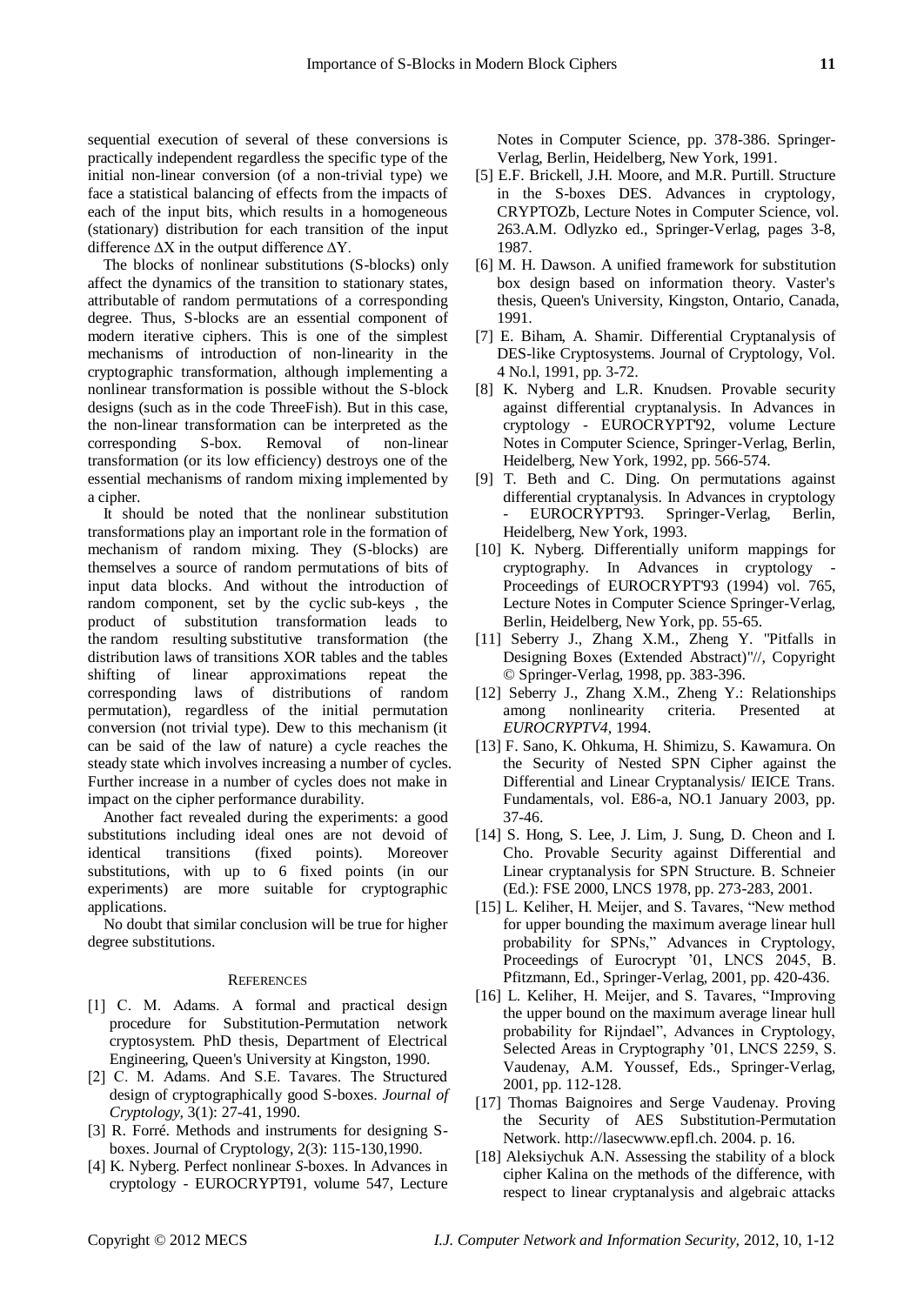sequential execution of several of these conversions is practically independent regardless the specific type of the initial non-linear conversion (of a non-trivial type) we face a statistical balancing of effects from the impacts of each of the input bits, which results in a homogeneous (stationary) distribution for each transition of the input difference ∆X in the output difference ∆Y.

The blocks of nonlinear substitutions (S-blocks) only affect the dynamics of the transition to stationary states, attributable of random permutations of a corresponding degree. Thus, S-blocks are an essential component of modern iterative ciphers. This is one of the simplest mechanisms of introduction of non-linearity in the cryptographic transformation, although implementing a nonlinear transformation is possible without the S-block designs (such as in the code ThreeFish). But in this case, the non-linear transformation can be interpreted as the corresponding S-box. Removal of non-linear transformation (or its low efficiency) destroys one of the essential mechanisms of random mixing implemented by a cipher.

It should be noted that the nonlinear substitution transformations play an important role in the formation of mechanism of random mixing. They (S-blocks) are themselves a source of random permutations of bits of input data blocks. And without the introduction of random component, set by the cyclic sub-keys , the product of substitution transformation leads to the random resulting substitutive transformation (the distribution laws of transitions XOR tables and the tables shifting of linear approximations repeat the corresponding laws of distributions of random permutation), regardless of the initial permutation conversion (not trivial type). Dew to this mechanism (it can be said of the law of nature) a cycle reaches the steady state which involves increasing a number of cycles. Further increase in a number of cycles does not make in impact on the cipher performance durability.

Another fact revealed during the experiments: a good substitutions including ideal ones are not devoid of identical transitions (fixed points). Moreover substitutions, with up to 6 fixed points (in our experiments) are more suitable for cryptographic applications.

No doubt that similar conclusion will be true for higher degree substitutions.

### **REFERENCES**

- [1] C. M. Adams. A formal and practical design procedure for Substitution-Permutation network cryptosystem. PhD thesis, Department of Electrical Engineering, Queen's University at Kingston, 1990.
- [2] C. M. Adams. And S.E. Tavares. The Structured design of cryptographically good S-boxes. *Journal of Cryptology,* 3(1): 27-41, 1990.
- [3] R. Forré. Methods and instruments for designing Sboxes. Journal of Cryptology, 2(3): 115-130,1990.
- [4] K. Nyberg. Perfect nonlinear *S*-boxes. In Advances in cryptology - EUROCRYPT91, volume 547, Lecture

Notes in Computer Science, pp. 378-386. Springer-Verlag, Berlin, Heidelberg, New York, 1991.

- [5] E.F. Brickell, J.H. Moore, and M.R. Purtill. Structure in the S-boxes DES. Advances in cryptology, CRYPTOZb, Lecture Notes in Computer Science, vol. 263.A.M. Odlyzko ed., Springer-Verlag, pages 3-8, 1987.
- [6] M. H. Dawson. A unified framework for substitution box design based on information theory. Vaster's thesis, Queen's University, Kingston, Ontario, Canada, 1991.
- [7] E. Biham, A. Shamir. Differential Cryptanalysis of DES-like Cryptosystems. Journal of Cryptology, Vol. 4 No.l, 1991, pp. 3-72.
- [8] K. Nyberg and L.R. Knudsen. Provable security against differential cryptanalysis. In Advances in cryptology - EUROCRYPT'92, volume Lecture Notes in Computer Science, Springer-Verlag, Berlin, Heidelberg, New York, 1992, pp. 566-574.
- [9] T. Beth and C. Ding. On permutations against differential cryptanalysis. In Advances in cryptology - EUROCRYPT'93. Springer-Verlag, Berlin, Heidelberg, New York, 1993.
- [10] K. Nyberg. Differentially uniform mappings for cryptography. In Advances in cryptology Proceedings of EUROCRYPT'93 (1994) vol. 765, Lecture Notes in Computer Science Springer-Verlag, Berlin, Heidelberg, New York, pp. 55-65.
- [11] Seberry J., Zhang X.M., Zheng Y. "Pitfalls in Designing Boxes (Extended Abstract)"//, Copyright © Springer-Verlag, 1998, pp. 383-396.
- [12] Seberry J., Zhang X.M., Zheng Y.: Relationships among nonlinearity criteria. Presented *EUROCRYPTV4,* 1994.
- [13] F. Sano, K. Ohkuma, H. Shimizu, S. Kawamura. On the Security of Nested SPN Cipher against the Differential and Linear Cryptanalysis/ IEICE Trans. Fundamentals, vol. E86-a, NO.1 January 2003, pp. 37-46.
- [14] S. Hong, S. Lee, J. Lim, J. Sung, D. Cheon and I. Cho. Provable Security against Differential and Linear cryptanalysis for SPN Structure. B. Schneier (Ed.): FSE 2000, LNCS 1978, pp. 273-283, 2001.
- [15] L. Keliher, H. Meijer, and S. Tavares, "New method for upper bounding the maximum average linear hull probability for SPNs," Advances in Cryptology, Proceedings of Eurocrypt '01, LNCS 2045, B. Pfitzmann, Ed., Springer-Verlag, 2001, pp. 420-436.
- [16] L. Keliher, H. Meijer, and S. Tavares, "Improving the upper bound on the maximum average linear hull probability for Rijndael", Advances in Cryptology, Selected Areas in Cryptography '01, LNCS 2259, S. Vaudenay, A.M. Youssef, Eds., Springer-Verlag, 2001, pp. 112-128.
- [17] Thomas Baignoires and Serge Vaudenay. Proving the Security of AES Substitution-Permutation Network. [http://lasecwww.epfl.ch.](http://lasecwww.epfl.ch/) 2004. p. 16.
- [18] Aleksiychuk A.N. Assessing the stability of a block cipher Kalina on the methods of the difference, with respect to linear cryptanalysis and algebraic attacks